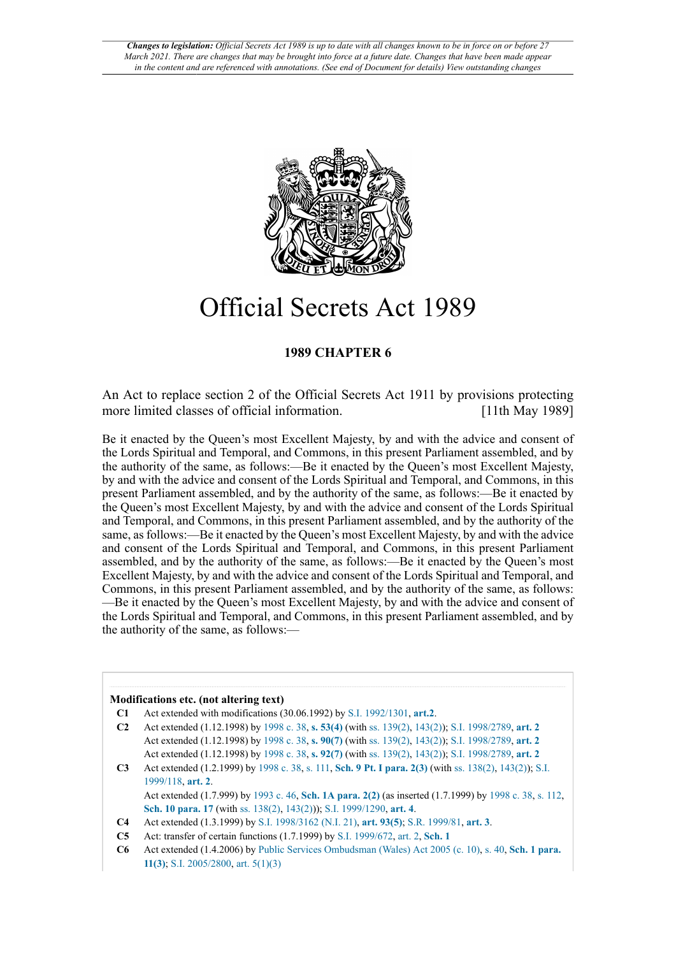

# Official Secrets Act 1989

# **1989 CHAPTER 6**

An Act to replace section 2 of the Official Secrets Act 1911 by provisions protecting more limited classes of official information. [11th May 1989]

Be it enacted by the Queen's most Excellent Majesty, by and with the advice and consent of the Lords Spiritual and Temporal, and Commons, in this present Parliament assembled, and by the authority of the same, as follows:—Be it enacted by the Queen's most Excellent Majesty, by and with the advice and consent of the Lords Spiritual and Temporal, and Commons, in this present Parliament assembled, and by the authority of the same, as follows:—Be it enacted by the Queen's most Excellent Majesty, by and with the advice and consent of the Lords Spiritual and Temporal, and Commons, in this present Parliament assembled, and by the authority of the same, as follows:—Be it enacted by the Queen's most Excellent Majesty, by and with the advice and consent of the Lords Spiritual and Temporal, and Commons, in this present Parliament assembled, and by the authority of the same, as follows:—Be it enacted by the Queen's most Excellent Majesty, by and with the advice and consent of the Lords Spiritual and Temporal, and Commons, in this present Parliament assembled, and by the authority of the same, as follows: —Be it enacted by the Queen's most Excellent Majesty, by and with the advice and consent of the Lords Spiritual and Temporal, and Commons, in this present Parliament assembled, and by the authority of the same, as follows:—

#### **Modifications etc. (not altering text)**

- **C1** Act extended with modifications (30.06.1992) by [S.I. 1992/1301,](http://www.legislation.gov.uk/id/uksi/1992/1301) **[art.2](http://www.legislation.gov.uk/id/uksi/1992/1301/article/2)**.
- **C2** Act extended (1.12.1998) by [1998 c. 38,](http://www.legislation.gov.uk/id/ukpga/1998/38) **[s. 53\(4\)](http://www.legislation.gov.uk/id/ukpga/1998/38/section/53/4)** (with [ss. 139\(2\),](http://www.legislation.gov.uk/id/ukpga/1998/38/section/139/2) [143\(2\)](http://www.legislation.gov.uk/id/ukpga/1998/38/section/143/2)); [S.I. 1998/2789](http://www.legislation.gov.uk/id/uksi/1998/2789), **[art. 2](http://www.legislation.gov.uk/id/uksi/1998/2789/article/2)** Act extended (1.12.1998) by [1998 c. 38,](http://www.legislation.gov.uk/id/ukpga/1998/38) **[s. 90\(7\)](http://www.legislation.gov.uk/id/ukpga/1998/38/section/90/7)** (with [ss. 139\(2\),](http://www.legislation.gov.uk/id/ukpga/1998/38/section/139/2) [143\(2\)](http://www.legislation.gov.uk/id/ukpga/1998/38/section/143/2)); [S.I. 1998/2789](http://www.legislation.gov.uk/id/uksi/1998/2789), **[art. 2](http://www.legislation.gov.uk/id/uksi/1998/2789/article/2)**
- Act extended (1.12.1998) by [1998 c. 38,](http://www.legislation.gov.uk/id/ukpga/1998/38) **[s. 92\(7\)](http://www.legislation.gov.uk/id/ukpga/1998/38/section/92/7)** (with [ss. 139\(2\),](http://www.legislation.gov.uk/id/ukpga/1998/38/section/139/2) [143\(2\)](http://www.legislation.gov.uk/id/ukpga/1998/38/section/143/2)); [S.I. 1998/2789](http://www.legislation.gov.uk/id/uksi/1998/2789), **[art. 2](http://www.legislation.gov.uk/id/uksi/1998/2789/article/2) C3** Act extended (1.2.1999) by [1998 c. 38](http://www.legislation.gov.uk/id/ukpga/1998/38), s. [111,](http://www.legislation.gov.uk/id/ukpga/1998/38/section/111) **[Sch. 9 Pt. I para. 2\(3\)](http://www.legislation.gov.uk/id/ukpga/1998/38/schedule/9/part/I/paragraph/2/3)** (with [ss. 138\(2\),](http://www.legislation.gov.uk/id/ukpga/1998/38/section/138/2) [143\(2\)](http://www.legislation.gov.uk/id/ukpga/1998/38/section/143/2)); [S.I.](http://www.legislation.gov.uk/id/uksi/1999/118)

[1999/118](http://www.legislation.gov.uk/id/uksi/1999/118), **[art. 2](http://www.legislation.gov.uk/id/uksi/1999/118/article/2)**. Act extended (1.7.999) by [1993 c. 46,](http://www.legislation.gov.uk/id/ukpga/1993/46) **[Sch. 1A para. 2\(2\)](http://www.legislation.gov.uk/id/ukpga/1993/46/schedule/1A/paragraph/2/2)** (as inserted (1.7.1999) by [1998 c. 38](http://www.legislation.gov.uk/id/ukpga/1998/38), s. [112,](http://www.legislation.gov.uk/id/ukpga/1998/38/section/112) **[Sch. 10 para. 17](http://www.legislation.gov.uk/id/ukpga/1998/38/schedule/10/paragraph/17)** (with [ss. 138\(2\),](http://www.legislation.gov.uk/id/ukpga/1998/38/section/138/2) [143\(2\)](http://www.legislation.gov.uk/id/ukpga/1998/38/section/143/2))); [S.I. 1999/1290](http://www.legislation.gov.uk/id/uksi/1999/1290), **[art. 4](http://www.legislation.gov.uk/id/uksi/1999/1290/article/4)**.

- **C4** Act extended (1.3.1999) by [S.I. 1998/3162 \(N.I. 21\)](http://www.legislation.gov.uk/id/nisi/1998/3162), **[art. 93\(5\)](http://www.legislation.gov.uk/id/nisi/1998/3162/article/93/5)**; [S.R. 1999/81](http://www.legislation.gov.uk/id/nisr/1999/81), **[art. 3](http://www.legislation.gov.uk/id/nisr/1999/81/article/3)**.
- **C5** Act: transfer of certain functions (1.7.1999) by [S.I. 1999/672](http://www.legislation.gov.uk/id/uksi/1999/672), [art. 2](http://www.legislation.gov.uk/id/uksi/1999/672/article/2), **[Sch. 1](http://www.legislation.gov.uk/id/uksi/1999/672/schedule/1)**
- **C6** Act extended (1.4.2006) by Public Services [Ombudsman](http://www.legislation.gov.uk/id/ukpga/2005/10) (Wales) Act 2005 (c. 10), [s. 40](http://www.legislation.gov.uk/id/ukpga/2005/10/section/40), **[Sch. 1 para.](http://www.legislation.gov.uk/id/ukpga/2005/10/schedule/1/paragraph/11/3) [11\(3\)](http://www.legislation.gov.uk/id/ukpga/2005/10/schedule/1/paragraph/11/3)**; [S.I. 2005/2800,](http://www.legislation.gov.uk/id/uksi/2005/2800) [art. 5\(1\)](http://www.legislation.gov.uk/id/uksi/2005/2800/article/5/1)[\(3\)](http://www.legislation.gov.uk/id/uksi/2005/2800/article/5/3)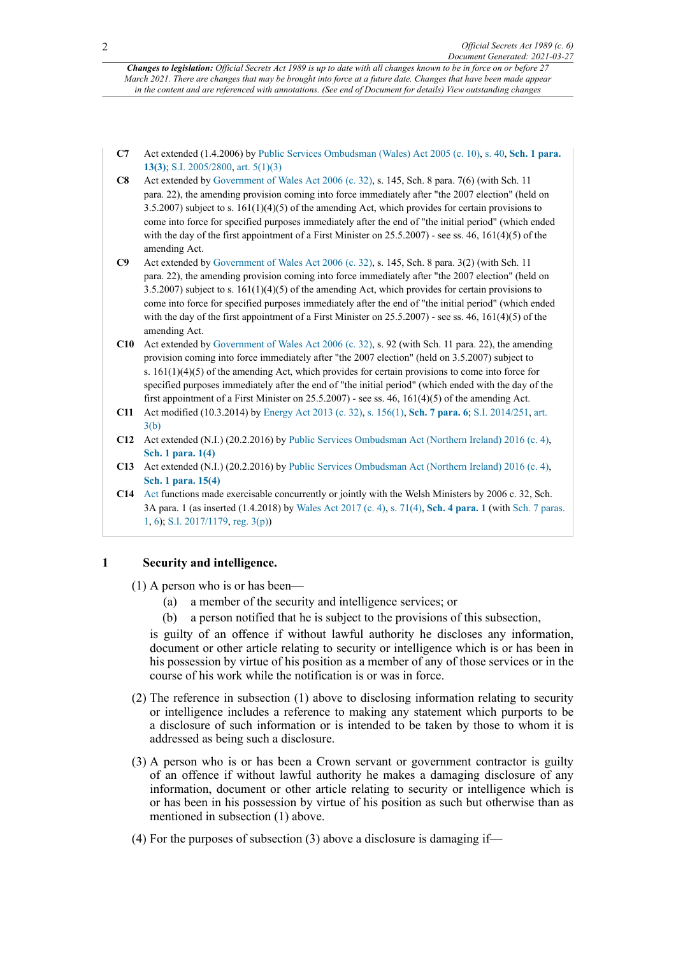- **C7** Act extended (1.4.2006) by Public Services [Ombudsman](http://www.legislation.gov.uk/id/ukpga/2005/10) (Wales) Act 2005 (c. 10), [s. 40](http://www.legislation.gov.uk/id/ukpga/2005/10/section/40), **[Sch. 1 para.](http://www.legislation.gov.uk/id/ukpga/2005/10/schedule/1/paragraph/13/3) [13\(3\)](http://www.legislation.gov.uk/id/ukpga/2005/10/schedule/1/paragraph/13/3)**; [S.I. 2005/2800](http://www.legislation.gov.uk/id/uksi/2005/2800), [art. 5\(1\)](http://www.legislation.gov.uk/id/uksi/2005/2800/article/5/1)[\(3\)](http://www.legislation.gov.uk/id/uksi/2005/2800/article/5/3)
- **C8** Act extended by [Government](http://www.legislation.gov.uk/id/ukpga/2006/32) of Wales Act 2006 (c. 32), s. 145, Sch. 8 para. 7(6) (with Sch. 11 para. 22), the amending provision coming into force immediately after "the 2007 election" (held on 3.5.2007) subject to s. 161(1)(4)(5) of the amending Act, which provides for certain provisions to come into force for specified purposes immediately after the end of "the initial period" (which ended with the day of the first appointment of a First Minister on 25.5.2007) - see ss. 46, 161(4)(5) of the amending Act.
- **C9** Act extended by [Government](http://www.legislation.gov.uk/id/ukpga/2006/32) of Wales Act 2006 (c. 32), s. 145, Sch. 8 para. 3(2) (with Sch. 11 para. 22), the amending provision coming into force immediately after "the 2007 election" (held on 3.5.2007) subject to s. 161(1)(4)(5) of the amending Act, which provides for certain provisions to come into force for specified purposes immediately after the end of "the initial period" (which ended with the day of the first appointment of a First Minister on 25.5.2007) - see ss. 46, 161(4)(5) of the amending Act.
- **C10** Act extended by [Government](http://www.legislation.gov.uk/id/ukpga/2006/32) of Wales Act 2006 (c. 32), s. 92 (with Sch. 11 para. 22), the amending provision coming into force immediately after "the 2007 election" (held on 3.5.2007) subject to s.  $161(1)(4)(5)$  of the amending Act, which provides for certain provisions to come into force for specified purposes immediately after the end of "the initial period" (which ended with the day of the first appointment of a First Minister on 25.5.2007) - see ss. 46, 161(4)(5) of the amending Act.
- **C11** Act modified (10.3.2014) by [Energy](http://www.legislation.gov.uk/id/ukpga/2013/32) Act 2013 (c. 32), [s. 156\(1\),](http://www.legislation.gov.uk/id/ukpga/2013/32/section/156/1) **[Sch. 7 para. 6](http://www.legislation.gov.uk/id/ukpga/2013/32/schedule/7/paragraph/6)**; [S.I. 2014/251,](http://www.legislation.gov.uk/id/uksi/2014/251) [art.](http://www.legislation.gov.uk/id/uksi/2014/251/article/3/b) [3\(b\)](http://www.legislation.gov.uk/id/uksi/2014/251/article/3/b)
- **C12** Act extended (N.I.) (20.2.2016) by [Public Services Ombudsman Act \(Northern Ireland\) 2016 \(c. 4\)](http://www.legislation.gov.uk/id/nia/2016/4), **[Sch. 1 para. 1\(4\)](http://www.legislation.gov.uk/id/nia/2016/4/schedule/1/paragraph/1/4)**
- **C13** Act extended (N.I.) (20.2.2016) by [Public Services Ombudsman Act \(Northern Ireland\) 2016 \(c. 4\)](http://www.legislation.gov.uk/id/nia/2016/4), **[Sch. 1 para. 15\(4\)](http://www.legislation.gov.uk/id/nia/2016/4/schedule/1/paragraph/15/4)**
- **C14** [Act](http://www.legislation.gov.uk/id/ukpga/1989/6) functions made exercisable concurrently or jointly with the Welsh Ministers by 2006 c. 32, Sch. 3A para. 1 (as inserted (1.4.2018) by [Wales](http://www.legislation.gov.uk/id/ukpga/2017/4) Act 2017 (c. 4), [s. 71\(4\),](http://www.legislation.gov.uk/id/ukpga/2017/4/section/71/4) **[Sch. 4 para. 1](http://www.legislation.gov.uk/id/ukpga/2017/4/schedule/4/paragraph/1)** (with [Sch. 7 paras.](http://www.legislation.gov.uk/id/ukpga/2017/4/schedule/7/paragraph/1) [1](http://www.legislation.gov.uk/id/ukpga/2017/4/schedule/7/paragraph/1), [6](http://www.legislation.gov.uk/id/ukpga/2017/4/schedule/7/paragraph/6)); S.I. [2017/1179,](http://www.legislation.gov.uk/id/uksi/2017/1179) [reg. 3\(p\)](http://www.legislation.gov.uk/id/uksi/2017/1179/regulation/3/p))

# **1 Security and intelligence.**

(1) A person who is or has been—

- (a) a member of the security and intelligence services; or
- (b) a person notified that he is subject to the provisions of this subsection,

is guilty of an offence if without lawful authority he discloses any information, document or other article relating to security or intelligence which is or has been in his possession by virtue of his position as a member of any of those services or in the course of his work while the notification is or was in force.

- (2) The reference in subsection (1) above to disclosing information relating to security or intelligence includes a reference to making any statement which purports to be a disclosure of such information or is intended to be taken by those to whom it is addressed as being such a disclosure.
- (3) A person who is or has been a Crown servant or government contractor is guilty of an offence if without lawful authority he makes a damaging disclosure of any information, document or other article relating to security or intelligence which is or has been in his possession by virtue of his position as such but otherwise than as mentioned in subsection (1) above.
- (4) For the purposes of subsection (3) above a disclosure is damaging if—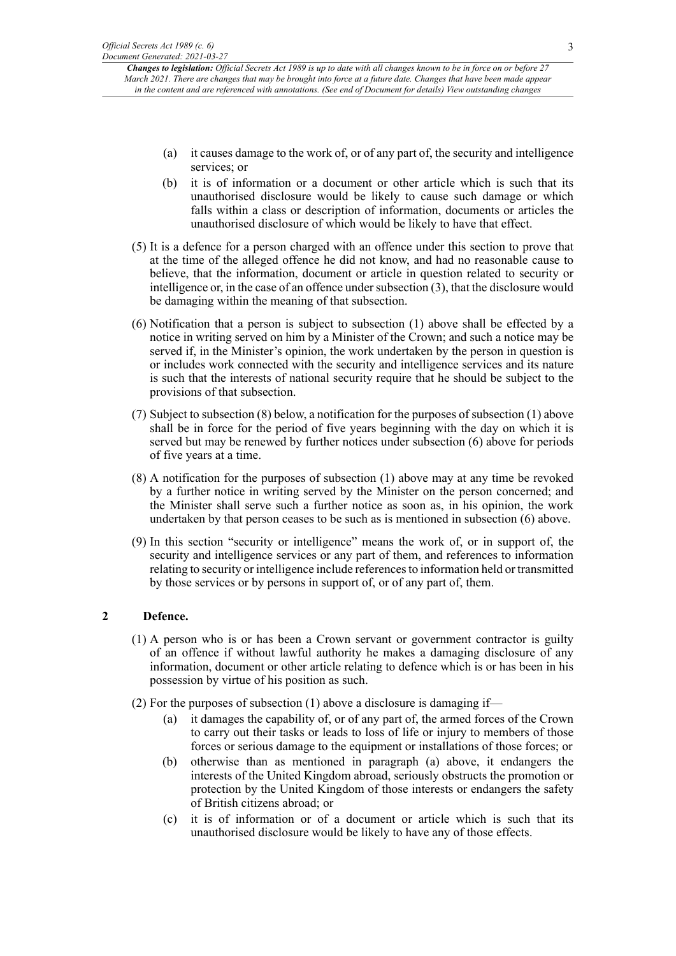- (a) it causes damage to the work of, or of any part of, the security and intelligence services; or
- (b) it is of information or a document or other article which is such that its unauthorised disclosure would be likely to cause such damage or which falls within a class or description of information, documents or articles the unauthorised disclosure of which would be likely to have that effect.
- (5) It is a defence for a person charged with an offence under this section to prove that at the time of the alleged offence he did not know, and had no reasonable cause to believe, that the information, document or article in question related to security or intelligence or, in the case of an offence under subsection  $(3)$ , that the disclosure would be damaging within the meaning of that subsection.
- (6) Notification that a person is subject to subsection (1) above shall be effected by a notice in writing served on him by a Minister of the Crown; and such a notice may be served if, in the Minister's opinion, the work undertaken by the person in question is or includes work connected with the security and intelligence services and its nature is such that the interests of national security require that he should be subject to the provisions of that subsection.
- (7) Subject to subsection (8) below, a notification for the purposes of subsection (1) above shall be in force for the period of five years beginning with the day on which it is served but may be renewed by further notices under subsection (6) above for periods of five years at a time.
- (8) A notification for the purposes of subsection (1) above may at any time be revoked by a further notice in writing served by the Minister on the person concerned; and the Minister shall serve such a further notice as soon as, in his opinion, the work undertaken by that person ceases to be such as is mentioned in subsection (6) above.
- (9) In this section "security or intelligence" means the work of, or in support of, the security and intelligence services or any part of them, and references to information relating to security or intelligence include references to information held or transmitted by those services or by persons in support of, or of any part of, them.

# **2 Defence.**

- (1) A person who is or has been a Crown servant or government contractor is guilty of an offence if without lawful authority he makes a damaging disclosure of any information, document or other article relating to defence which is or has been in his possession by virtue of his position as such.
- (2) For the purposes of subsection  $(1)$  above a disclosure is damaging if—
	- (a) it damages the capability of, or of any part of, the armed forces of the Crown to carry out their tasks or leads to loss of life or injury to members of those forces or serious damage to the equipment or installations of those forces; or
	- (b) otherwise than as mentioned in paragraph (a) above, it endangers the interests of the United Kingdom abroad, seriously obstructs the promotion or protection by the United Kingdom of those interests or endangers the safety of British citizens abroad; or
	- (c) it is of information or of a document or article which is such that its unauthorised disclosure would be likely to have any of those effects.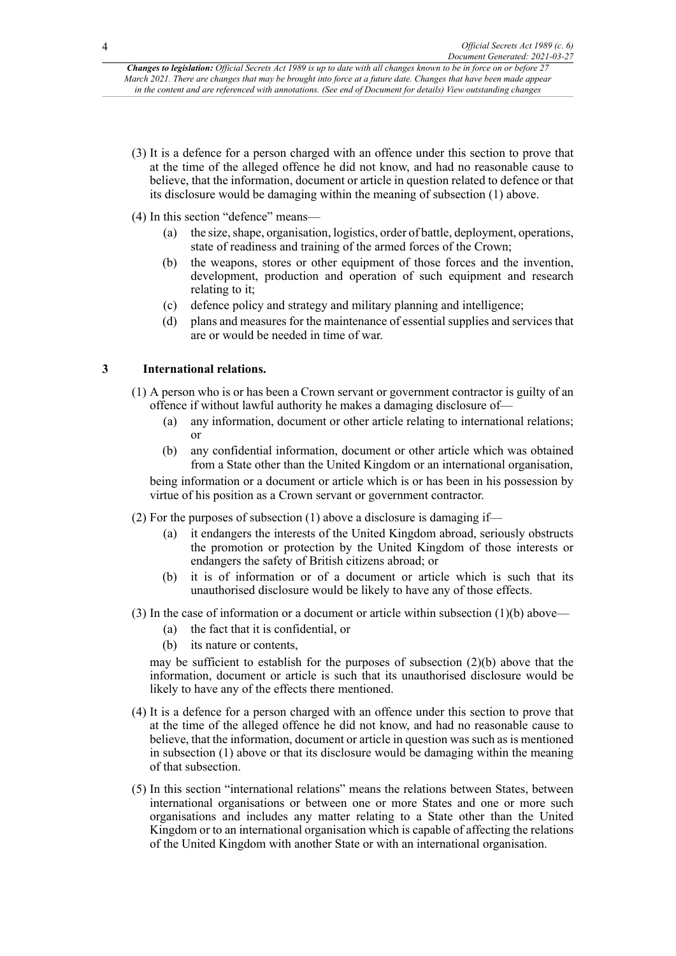- (3) It is a defence for a person charged with an offence under this section to prove that at the time of the alleged offence he did not know, and had no reasonable cause to believe, that the information, document or article in question related to defence or that its disclosure would be damaging within the meaning of subsection (1) above.
- (4) In this section "defence" means—
	- (a) the size,shape, organisation, logistics, order of battle, deployment, operations, state of readiness and training of the armed forces of the Crown;
	- (b) the weapons, stores or other equipment of those forces and the invention, development, production and operation of such equipment and research relating to it;
	- (c) defence policy and strategy and military planning and intelligence;
	- (d) plans and measures for the maintenance of essential supplies and services that are or would be needed in time of war.

### **3 International relations.**

- (1) A person who is or has been a Crown servant or government contractor is guilty of an offence if without lawful authority he makes a damaging disclosure of—
	- (a) any information, document or other article relating to international relations; or
	- (b) any confidential information, document or other article which was obtained from a State other than the United Kingdom or an international organisation,

being information or a document or article which is or has been in his possession by virtue of his position as a Crown servant or government contractor.

- (2) For the purposes of subsection (1) above a disclosure is damaging if—
	- (a) it endangers the interests of the United Kingdom abroad, seriously obstructs the promotion or protection by the United Kingdom of those interests or endangers the safety of British citizens abroad; or
	- (b) it is of information or of a document or article which is such that its unauthorised disclosure would be likely to have any of those effects.
- (3) In the case of information or a document or article within subsection  $(1)(b)$  above—
	- (a) the fact that it is confidential, or
	- (b) its nature or contents,

may be sufficient to establish for the purposes of subsection (2)(b) above that the information, document or article is such that its unauthorised disclosure would be likely to have any of the effects there mentioned.

- (4) It is a defence for a person charged with an offence under this section to prove that at the time of the alleged offence he did not know, and had no reasonable cause to believe, that the information, document or article in question was such as is mentioned in subsection (1) above or that its disclosure would be damaging within the meaning of that subsection.
- (5) In this section "international relations" means the relations between States, between international organisations or between one or more States and one or more such organisations and includes any matter relating to a State other than the United Kingdom or to an international organisation which is capable of affecting the relations of the United Kingdom with another State or with an international organisation.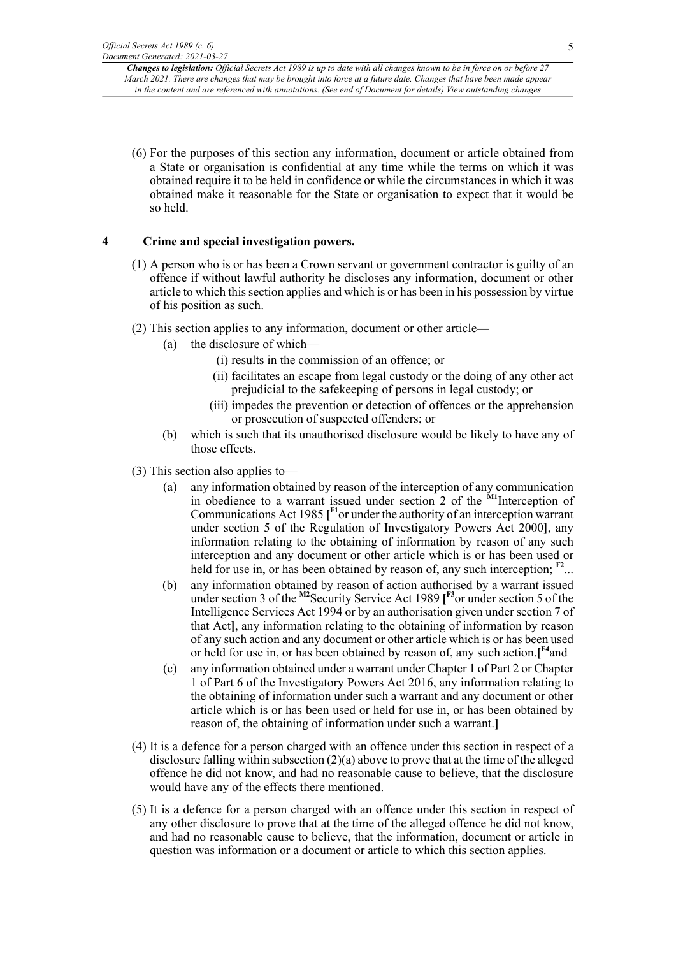(6) For the purposes of this section any information, document or article obtained from a State or organisation is confidential at any time while the terms on which it was obtained require it to be held in confidence or while the circumstances in which it was obtained make it reasonable for the State or organisation to expect that it would be so held.

in the content and are referenced with annotations. (See end of Document for details) View outstanding changes

### **4 Crime and special investigation powers.**

- (1) A person who is or has been a Crown servant or government contractor is guilty of an offence if without lawful authority he discloses any information, document or other article to which this section applies and which is or has been in his possession by virtue of his position as such.
- (2) This section applies to any information, document or other article—
	- (a) the disclosure of which—
		- (i) results in the commission of an offence; or
		- (ii) facilitates an escape from legal custody or the doing of any other act prejudicial to the safekeeping of persons in legal custody; or
		- (iii) impedes the prevention or detection of offences or the apprehension or prosecution of suspected offenders; or
	- (b) which is such that its unauthorised disclosure would be likely to have any of those effects.
- <span id="page-4-5"></span><span id="page-4-4"></span><span id="page-4-2"></span><span id="page-4-1"></span><span id="page-4-0"></span>(3) This section also applies to—
	- (a) any information obtained by reason of the interception of any communication in obedience to a warrant issued under section 2 of the **[M1](#page-5-0)**Interception of Communications Act 1985 **[ [F1](#page-5-1)**or under the authority of an interception warrant under section 5 of the Regulation of Investigatory Powers Act 2000**]**, any information relating to the obtaining of information by reason of any such interception and any document or other article which is or has been used or held for use in, or has been obtained by reason of, any such interception; <sup>[F2](#page-5-2)</sup>...
	- (b) any information obtained by reason of action authorised by a warrant issued under section 3 of the **[M2](#page-5-3)**Security Service Act 1989 **[ [F3](#page-5-4)**or under section 5 of the Intelligence Services Act 1994 or by an authorisation given under section 7 of that Act**]**, any information relating to the obtaining of information by reason of any such action and any document or other article which is or has been used or held for use in, or has been obtained by reason of, any such action.**[ [F4](#page-5-5)**and
	- (c) any information obtained under a warrant under Chapter 1 of Part 2 or Chapter 1 of Part 6 of the Investigatory Powers Act 2016, any information relating to the obtaining of information under such a warrant and any document or other article which is or has been used or held for use in, or has been obtained by reason of, the obtaining of information under such a warrant.**]**
- <span id="page-4-3"></span>(4) It is a defence for a person charged with an offence under this section in respect of a disclosure falling within subsection (2)(a) above to prove that at the time of the alleged offence he did not know, and had no reasonable cause to believe, that the disclosure would have any of the effects there mentioned.
- (5) It is a defence for a person charged with an offence under this section in respect of any other disclosure to prove that at the time of the alleged offence he did not know, and had no reasonable cause to believe, that the information, document or article in question was information or a document or article to which this section applies.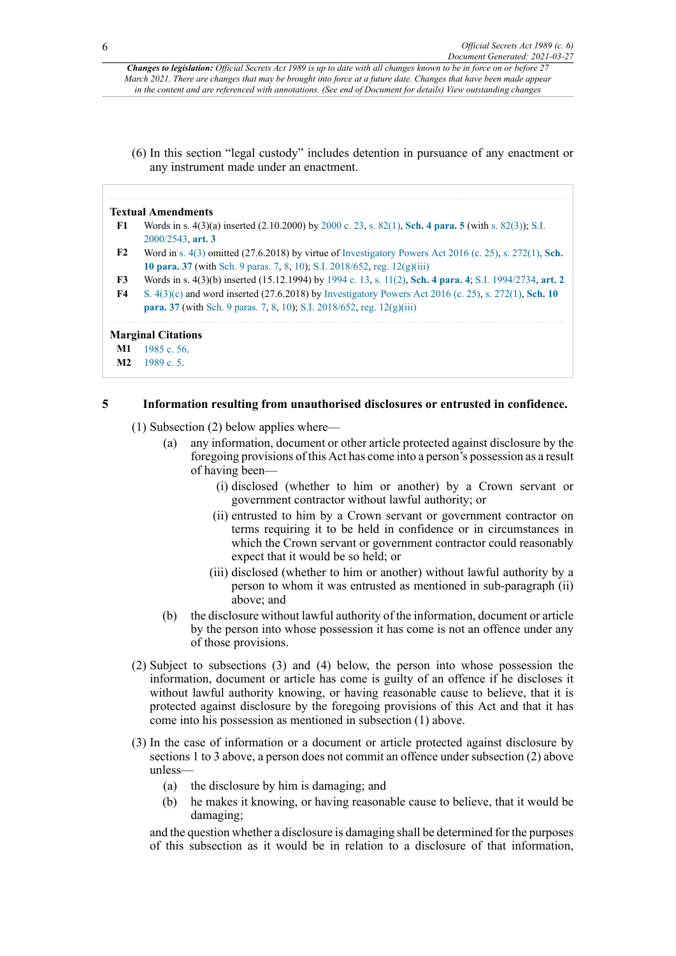(6) In this section "legal custody" includes detention in pursuance of any enactment or any instrument made under an enactment.

#### **Textual Amendments**

- <span id="page-5-1"></span>**[F1](#page-4-0)** Words in s. 4(3)(a) inserted (2.10.2000) by [2000 c. 23,](http://www.legislation.gov.uk/id/ukpga/2000/23) [s. 82\(1\),](http://www.legislation.gov.uk/id/ukpga/2000/23/section/82/1) **[Sch. 4 para. 5](http://www.legislation.gov.uk/id/ukpga/2000/23/schedule/4/paragraph/5)** (with [s. 82\(3\)](http://www.legislation.gov.uk/id/ukpga/2000/23/section/82/3)); [S.I.](http://www.legislation.gov.uk/id/uksi/2000/2543) [2000/2543](http://www.legislation.gov.uk/id/uksi/2000/2543), **[art. 3](http://www.legislation.gov.uk/id/uksi/2000/2543/article/3)**
- <span id="page-5-2"></span>**[F2](#page-4-1)** Word in [s. 4\(3\)](http://www.legislation.gov.uk/id/ukpga/1989/6/section/4/3) omitted (27.6.2018) by virtue of [Investigatory Powers Act 2016 \(c. 25\),](http://www.legislation.gov.uk/id/ukpga/2016/25) [s. 272\(1\)](http://www.legislation.gov.uk/id/ukpga/2016/25/section/272/1), **[Sch.](http://www.legislation.gov.uk/id/ukpga/2016/25/schedule/10/paragraph/37) [10 para. 37](http://www.legislation.gov.uk/id/ukpga/2016/25/schedule/10/paragraph/37)** (with [Sch. 9 paras. 7,](http://www.legislation.gov.uk/id/ukpga/2016/25/schedule/9/paragraph/7) [8,](http://www.legislation.gov.uk/id/ukpga/2016/25/schedule/9/paragraph/8) [10](http://www.legislation.gov.uk/id/ukpga/2016/25/schedule/9/paragraph/10)); [S.I. 2018/652,](http://www.legislation.gov.uk/id/uksi/2018/652) [reg. 12\(g\)\(iii\)](http://www.legislation.gov.uk/id/uksi/2018/652/regulation/12/g/iii)
- <span id="page-5-4"></span>**[F3](#page-4-2)** Words in s. 4(3)(b) inserted (15.12.1994) by [1994 c. 13,](http://www.legislation.gov.uk/id/ukpga/1994/13) s. [11\(2\)](http://www.legislation.gov.uk/id/ukpga/1994/13/section/11/2), **[Sch. 4 para. 4](http://www.legislation.gov.uk/id/ukpga/1994/13/schedule/4/paragraph/4)**; [S.I. 1994/2734](http://www.legislation.gov.uk/id/uksi/1994/2734), **[art. 2](http://www.legislation.gov.uk/id/uksi/1994/2734/article/2)**
- <span id="page-5-5"></span>**[F4](#page-4-3)** [S. 4\(3\)\(c\)](http://www.legislation.gov.uk/id/ukpga/1989/6/section/4/3/c) and word inserted (27.6.2018) by [Investigatory Powers Act 2016 \(c. 25\)](http://www.legislation.gov.uk/id/ukpga/2016/25), [s. 272\(1\),](http://www.legislation.gov.uk/id/ukpga/2016/25/section/272/1) **[Sch. 10](http://www.legislation.gov.uk/id/ukpga/2016/25/schedule/10/paragraph/37) [para. 37](http://www.legislation.gov.uk/id/ukpga/2016/25/schedule/10/paragraph/37)** (with [Sch. 9 paras. 7](http://www.legislation.gov.uk/id/ukpga/2016/25/schedule/9/paragraph/7), [8](http://www.legislation.gov.uk/id/ukpga/2016/25/schedule/9/paragraph/8), [10\)](http://www.legislation.gov.uk/id/ukpga/2016/25/schedule/9/paragraph/10); [S.I. 2018/652](http://www.legislation.gov.uk/id/uksi/2018/652), [reg. 12\(g\)\(iii\)](http://www.legislation.gov.uk/id/uksi/2018/652/regulation/12/g/iii)

#### **Marginal Citations**

<span id="page-5-0"></span>**[M1](#page-4-4)** [1985 c. 56](http://www.legislation.gov.uk/id/ukpga/1985/56).

<span id="page-5-3"></span>**[M2](#page-4-5)** [1989 c. 5.](http://www.legislation.gov.uk/id/ukpga/1989/5)

#### **5 Information resulting from unauthorised disclosures or entrusted in confidence.**

- (1) Subsection (2) below applies where—
	- (a) any information, document or other article protected against disclosure by the foregoing provisions of this Act has come into a person's possession as a result of having been—
		- (i) disclosed (whether to him or another) by a Crown servant or government contractor without lawful authority; or
		- (ii) entrusted to him by a Crown servant or government contractor on terms requiring it to be held in confidence or in circumstances in which the Crown servant or government contractor could reasonably expect that it would be so held; or
		- (iii) disclosed (whether to him or another) without lawful authority by a person to whom it was entrusted as mentioned in sub-paragraph (ii) above; and
	- (b) the disclosure without lawful authority of the information, document or article by the person into whose possession it has come is not an offence under any of those provisions.
- (2) Subject to subsections (3) and (4) below, the person into whose possession the information, document or article has come is guilty of an offence if he discloses it without lawful authority knowing, or having reasonable cause to believe, that it is protected against disclosure by the foregoing provisions of this Act and that it has come into his possession as mentioned in subsection (1) above.
- (3) In the case of information or a document or article protected against disclosure by sections 1 to 3 above, a person does not commit an offence under subsection (2) above unless—
	- (a) the disclosure by him is damaging; and
	- (b) he makes it knowing, or having reasonable cause to believe, that it would be damaging;

and the question whether a disclosure is damaging shall be determined for the purposes of this subsection as it would be in relation to a disclosure of that information,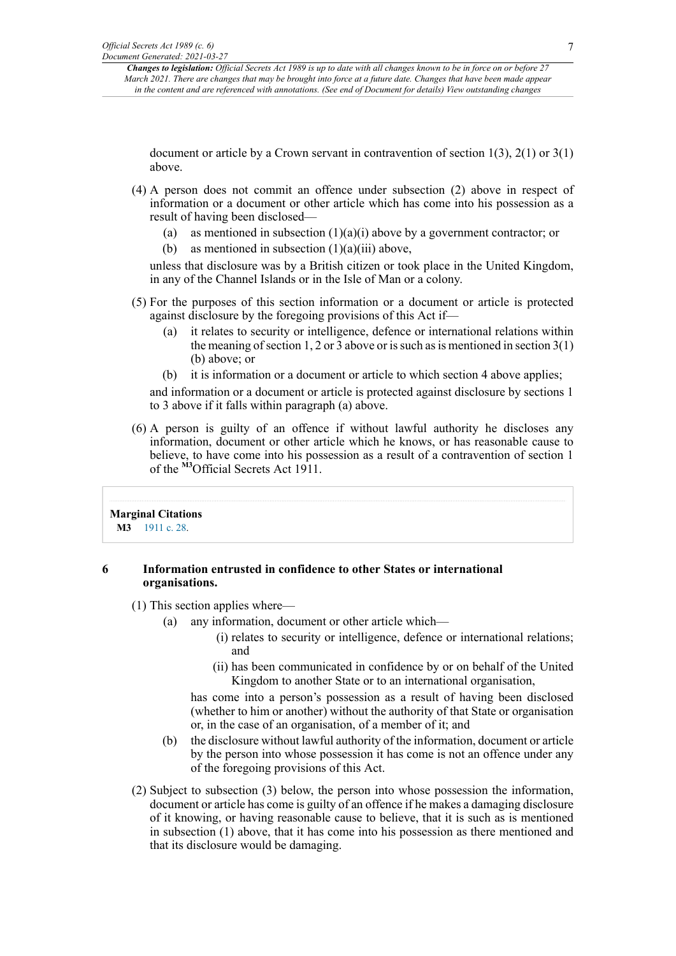document or article by a Crown servant in contravention of section  $1(3)$ ,  $2(1)$  or  $3(1)$ above.

- (4) A person does not commit an offence under subsection (2) above in respect of information or a document or other article which has come into his possession as a result of having been disclosed—
	- (a) as mentioned in subsection  $(1)(a)(i)$  above by a government contractor; or
	- (b) as mentioned in subsection  $(1)(a)(iii)$  above,

unless that disclosure was by a British citizen or took place in the United Kingdom, in any of the Channel Islands or in the Isle of Man or a colony.

- (5) For the purposes of this section information or a document or article is protected against disclosure by the foregoing provisions of this Act if—
	- (a) it relates to security or intelligence, defence or international relations within the meaning of section 1, 2 or  $\overline{3}$  above or is such as is mentioned in section 3(1) (b) above; or
	- (b) it is information or a document or article to which section 4 above applies;

and information or a document or article is protected against disclosure by sections 1 to 3 above if it falls within paragraph (a) above.

<span id="page-6-1"></span>(6) A person is guilty of an offence if without lawful authority he discloses any information, document or other article which he knows, or has reasonable cause to believe, to have come into his possession as a result of a contravention of section 1 of the **[M3](#page-6-0)**Official Secrets Act 1911.

# **Marginal Citations**

<span id="page-6-0"></span>**[M3](#page-6-1)** [1911](http://www.legislation.gov.uk/id/ukpga/1911/28) c. 28.

# **6 Information entrusted in confidence to other States or international organisations.**

(1) This section applies where—

- (a) any information, document or other article which—
	- (i) relates to security or intelligence, defence or international relations; and
	- (ii) has been communicated in confidence by or on behalf of the United Kingdom to another State or to an international organisation,

has come into a person's possession as a result of having been disclosed (whether to him or another) without the authority of that State or organisation or, in the case of an organisation, of a member of it; and

- (b) the disclosure without lawful authority of the information, document or article by the person into whose possession it has come is not an offence under any of the foregoing provisions of this Act.
- (2) Subject to subsection (3) below, the person into whose possession the information, document or article has come is guilty of an offence if he makes a damaging disclosure of it knowing, or having reasonable cause to believe, that it is such as is mentioned in subsection (1) above, that it has come into his possession as there mentioned and that its disclosure would be damaging.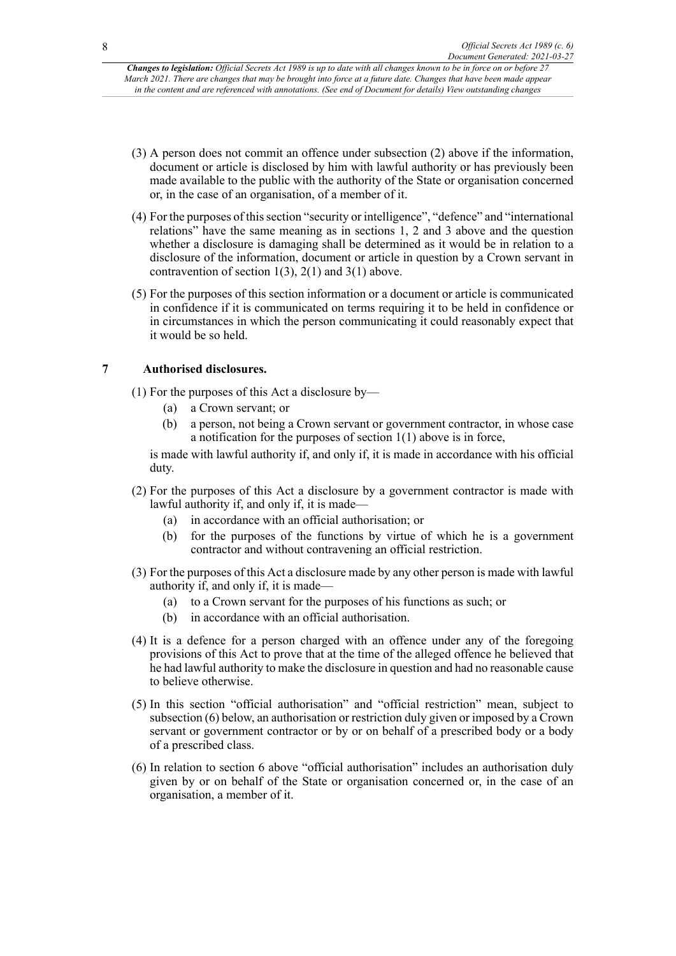- (3) A person does not commit an offence under subsection (2) above if the information, document or article is disclosed by him with lawful authority or has previously been made available to the public with the authority of the State or organisation concerned or, in the case of an organisation, of a member of it.
- (4) For the purposes of this section "security or intelligence", "defence" and "international relations" have the same meaning as in sections 1, 2 and 3 above and the question whether a disclosure is damaging shall be determined as it would be in relation to a disclosure of the information, document or article in question by a Crown servant in contravention of section  $1(3)$ ,  $2(1)$  and  $3(1)$  above.
- (5) For the purposes of this section information or a document or article is communicated in confidence if it is communicated on terms requiring it to be held in confidence or in circumstances in which the person communicating it could reasonably expect that it would be so held.

# **7 Authorised disclosures.**

(1) For the purposes of this Act a disclosure by—

- (a) a Crown servant; or
- (b) a person, not being a Crown servant or government contractor, in whose case a notification for the purposes of section 1(1) above is in force,

is made with lawful authority if, and only if, it is made in accordance with his official duty.

- (2) For the purposes of this Act a disclosure by a government contractor is made with lawful authority if, and only if, it is made—
	- (a) in accordance with an official authorisation; or
	- (b) for the purposes of the functions by virtue of which he is a government contractor and without contravening an official restriction.
- (3) For the purposes of this Act a disclosure made by any other person is made with lawful authority if, and only if, it is made—
	- (a) to a Crown servant for the purposes of his functions as such; or
	- (b) in accordance with an official authorisation.
- (4) It is a defence for a person charged with an offence under any of the foregoing provisions of this Act to prove that at the time of the alleged offence he believed that he had lawful authority to make the disclosure in question and had no reasonable cause to believe otherwise.
- (5) In this section "official authorisation" and "official restriction" mean, subject to subsection (6) below, an authorisation or restriction duly given or imposed by a Crown servant or government contractor or by or on behalf of a prescribed body or a body of a prescribed class.
- (6) In relation to section 6 above "official authorisation" includes an authorisation duly given by or on behalf of the State or organisation concerned or, in the case of an organisation, a member of it.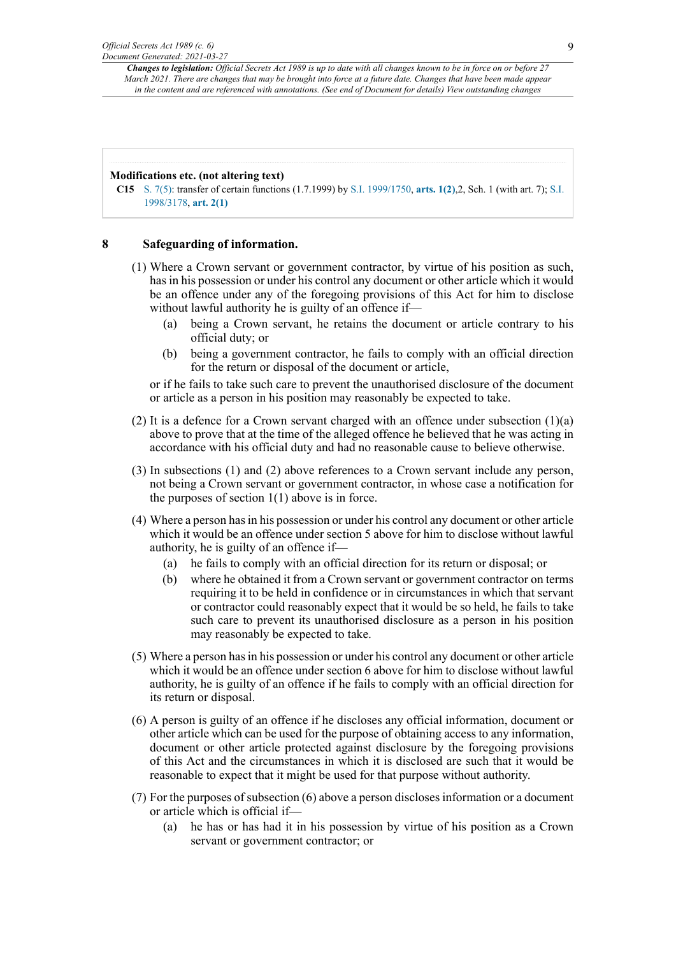# **Modifications etc. (not altering text)**

**C15** [S. 7\(5\)](http://www.legislation.gov.uk/id/ukpga/1989/6/section/7/5): transfer of certain functions (1.7.1999) by [S.I. 1999/1750](http://www.legislation.gov.uk/id/uksi/1999/1750), **[arts. 1\(2\)](http://www.legislation.gov.uk/id/uksi/1999/1750/article/1/2)**,2, Sch. 1 (with art. 7); [S.I.](http://www.legislation.gov.uk/id/uksi/1998/3178) [1998/3178](http://www.legislation.gov.uk/id/uksi/1998/3178), **[art. 2\(1\)](http://www.legislation.gov.uk/id/uksi/1998/3178/article/2/1)**

# **8 Safeguarding of information.**

- (1) Where a Crown servant or government contractor, by virtue of his position as such, has in his possession or under his control any document or other article which it would be an offence under any of the foregoing provisions of this Act for him to disclose without lawful authority he is guilty of an offence if—
	- (a) being a Crown servant, he retains the document or article contrary to his official duty; or
	- (b) being a government contractor, he fails to comply with an official direction for the return or disposal of the document or article,

or if he fails to take such care to prevent the unauthorised disclosure of the document or article as a person in his position may reasonably be expected to take.

- (2) It is a defence for a Crown servant charged with an offence under subsection  $(1)(a)$ above to prove that at the time of the alleged offence he believed that he was acting in accordance with his official duty and had no reasonable cause to believe otherwise.
- (3) In subsections (1) and (2) above references to a Crown servant include any person, not being a Crown servant or government contractor, in whose case a notification for the purposes of section  $1(1)$  above is in force.
- (4) Where a person has in his possession or under his control any document or other article which it would be an offence under section 5 above for him to disclose without lawful authority, he is guilty of an offence if—
	- (a) he fails to comply with an official direction for its return or disposal; or
	- (b) where he obtained it from a Crown servant or government contractor on terms requiring it to be held in confidence or in circumstances in which that servant or contractor could reasonably expect that it would be so held, he fails to take such care to prevent its unauthorised disclosure as a person in his position may reasonably be expected to take.
- (5) Where a person has in his possession or under his control any document or other article which it would be an offence under section 6 above for him to disclose without lawful authority, he is guilty of an offence if he fails to comply with an official direction for its return or disposal.
- (6) A person is guilty of an offence if he discloses any official information, document or other article which can be used for the purpose of obtaining access to any information, document or other article protected against disclosure by the foregoing provisions of this Act and the circumstances in which it is disclosed are such that it would be reasonable to expect that it might be used for that purpose without authority.
- (7) For the purposes of subsection (6) above a person discloses information or a document or article which is official if—
	- (a) he has or has had it in his possession by virtue of his position as a Crown servant or government contractor; or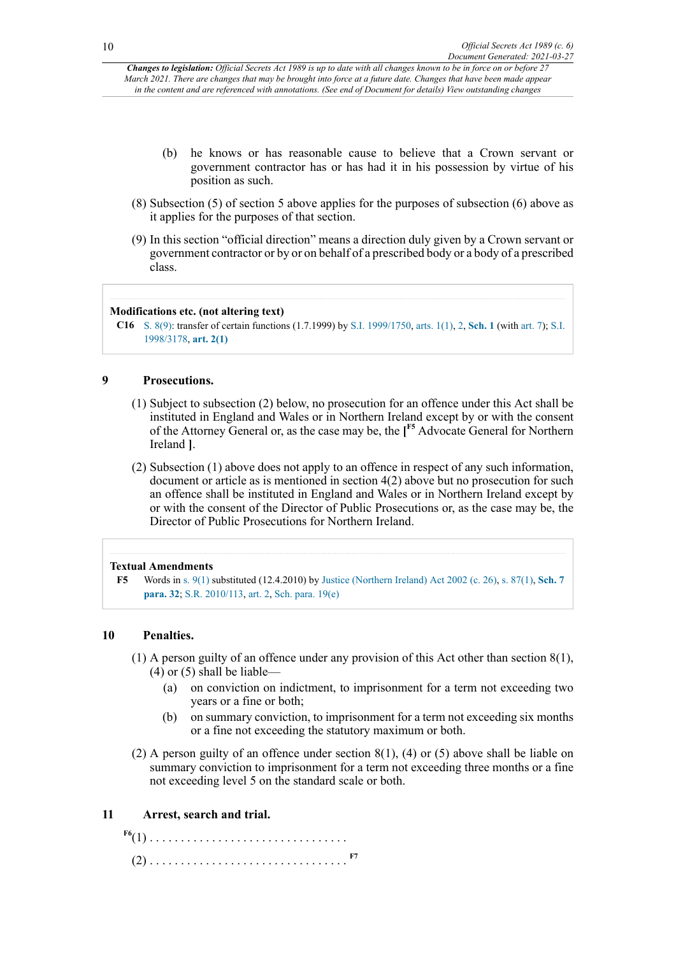- (b) he knows or has reasonable cause to believe that a Crown servant or government contractor has or has had it in his possession by virtue of his position as such.
- (8) Subsection (5) of section 5 above applies for the purposes of subsection (6) above as it applies for the purposes of that section.
- (9) In this section "official direction" means a direction duly given by a Crown servant or government contractor or by or on behalf of a prescribed body or a body of a prescribed class.

# **Modifications etc. (not altering text)**

**C16** [S. 8\(9\)](http://www.legislation.gov.uk/id/ukpga/1989/6/section/8/9): transfer of certain functions (1.7.1999) by [S.I. 1999/1750](http://www.legislation.gov.uk/id/uksi/1999/1750), [arts. 1\(1\)](http://www.legislation.gov.uk/id/uksi/1999/1750/article/1/1), [2](http://www.legislation.gov.uk/id/uksi/1999/1750/article/2), **[Sch. 1](http://www.legislation.gov.uk/id/uksi/1999/1750/schedule/1)** (with [art. 7\)](http://www.legislation.gov.uk/id/uksi/1999/1750/article/7); [S.I.](http://www.legislation.gov.uk/id/uksi/1998/3178) [1998/3178](http://www.legislation.gov.uk/id/uksi/1998/3178), **[art. 2\(1\)](http://www.legislation.gov.uk/id/uksi/1998/3178/article/2/1)**

# **9 Prosecutions.**

- <span id="page-9-1"></span>(1) Subject to subsection (2) below, no prosecution for an offence under this Act shall be instituted in England and Wales or in Northern Ireland except by or with the consent of the Attorney General or, as the case may be, the **[ [F5](#page-9-0)** Advocate General for Northern Ireland **]**.
- (2) Subsection (1) above does not apply to an offence in respect of any such information, document or article as is mentioned in section 4(2) above but no prosecution for such an offence shall be instituted in England and Wales or in Northern Ireland except by or with the consent of the Director of Public Prosecutions or, as the case may be, the Director of Public Prosecutions for Northern Ireland.

# **Textual Amendments**

<span id="page-9-0"></span>**[F5](#page-9-1)** Words in [s. 9\(1\)](http://www.legislation.gov.uk/id/ukpga/1989/6/section/9/1) substituted (12.4.2010) by [Justice \(Northern Ireland\) Act 2002 \(c. 26\),](http://www.legislation.gov.uk/id/ukpga/2002/26) [s. 87\(1\),](http://www.legislation.gov.uk/id/ukpga/2002/26/section/87/1) **[Sch. 7](http://www.legislation.gov.uk/id/ukpga/2002/26/schedule/7/paragraph/32) [para. 32](http://www.legislation.gov.uk/id/ukpga/2002/26/schedule/7/paragraph/32)**; S.R. [2010/113](http://www.legislation.gov.uk/id/nisr/2010/113), [art. 2](http://www.legislation.gov.uk/id/nisr/2010/113/article/2), [Sch. para. 19\(e\)](http://www.legislation.gov.uk/id/nisr/2010/113/schedule/paragraph/19/e)

# **10 Penalties.**

- (1) A person guilty of an offence under any provision of this Act other than section 8(1),  $(4)$  or  $(5)$  shall be liable—
	- (a) on conviction on indictment, to imprisonment for a term not exceeding two years or a fine or both;
	- (b) on summary conviction, to imprisonment for a term not exceeding six months or a fine not exceeding the statutory maximum or both.
- (2) A person guilty of an offence under section 8(1), (4) or (5) above shall be liable on summary conviction to imprisonment for a term not exceeding three months or a fine not exceeding level 5 on the standard scale or both.

# **11 Arrest, search and trial.**

<span id="page-9-3"></span><span id="page-9-2"></span>**[F6](#page-10-0)**(1) . . . . . . . . . . . . . . . . . . . . . . . . . . . . . . . . (2) . . . . . . . . . . . . . . . . . . . . . . . . . . . . . . . . **[F7](#page-10-1)**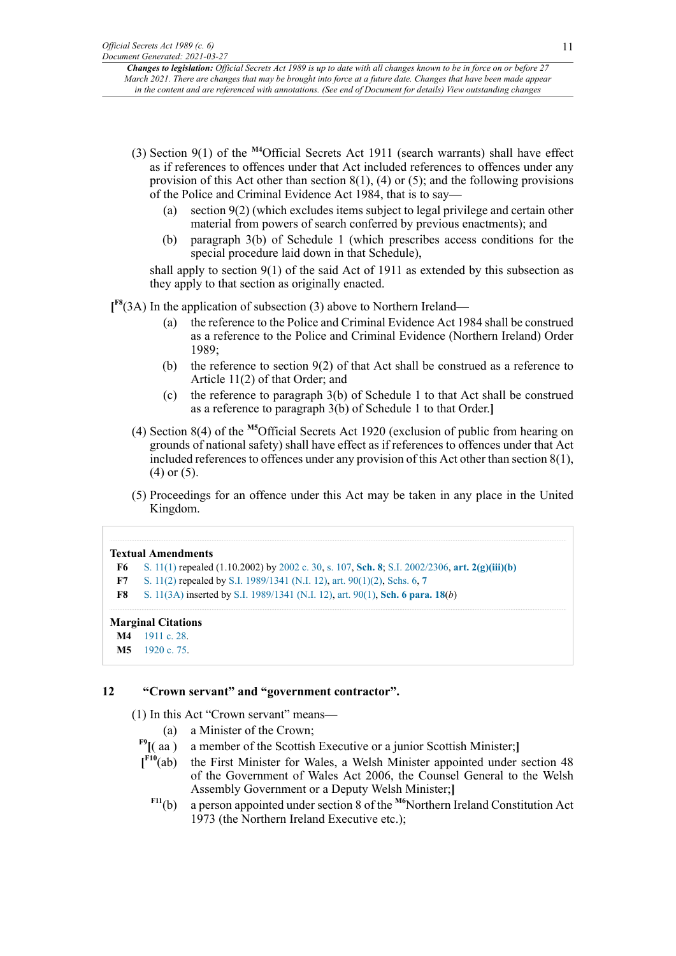- <span id="page-10-6"></span>(3) Section 9(1) of the **[M4](#page-10-2)**Official Secrets Act 1911 (search warrants) shall have effect as if references to offences under that Act included references to offences under any provision of this Act other than section  $8(1)$ ,  $(4)$  or  $(5)$ ; and the following provisions of the Police and Criminal Evidence Act 1984, that is to say
	- section  $9(2)$  (which excludes items subject to legal privilege and certain other material from powers of search conferred by previous enactments); and
	- (b) paragraph 3(b) of Schedule 1 (which prescribes access conditions for the special procedure laid down in that Schedule),

shall apply to section 9(1) of the said Act of 1911 as extended by this subsection as they apply to that section as originally enacted.

<span id="page-10-5"></span>**[ [F8](#page-10-3)**(3A) In the application of subsection (3) above to Northern Ireland—

- (a) the reference to the Police and Criminal Evidence Act 1984 shall be construed as a reference to the Police and Criminal Evidence (Northern Ireland) Order 1989;
- (b) the reference to section 9(2) of that Act shall be construed as a reference to Article 11(2) of that Order; and
- <span id="page-10-7"></span>(c) the reference to paragraph 3(b) of Schedule 1 to that Act shall be construed as a reference to paragraph 3(b) of Schedule 1 to that Order.**]**
- (4) Section 8(4) of the **[M5](#page-10-4)**Official Secrets Act 1920 (exclusion of public from hearing on grounds of national safety) shall have effect as if references to offences under that Act included references to offences under any provision of this Act other than section  $8(1)$ , (4) or (5).
- (5) Proceedings for an offence under this Act may be taken in any place in the United Kingdom.

### **Textual Amendments**

```
F6 S. 11(1) repealed (1.10.2002) by 2002 c. 30, s. 107, Sch. 8; S.I. 2002/2306, art. 2(g)(iii)(b)
```

```
F7 S. 11(2) repealed by S.I. 1989/1341 (N.I. 12), art. 90(1)(2), Schs. 6, 7
```

```
F8 S. 11(3A) inserted by S.I. 1989/1341 (N.I. 12), art. 90(1), Sch. 6 para. 18(b)
```
# **Marginal Citations**

```
M4 1911 c. 28.
```

```
M5 1920 c. 75.
```
# **12 "Crown servant" and "government contractor".**

- <span id="page-10-11"></span><span id="page-10-10"></span><span id="page-10-9"></span><span id="page-10-8"></span>(1) In this Act "Crown servant" means—
	-
	- (a) a Minister of the Crown;<br> $F<sup>9</sup>$ [(aa) a member of the Scottish a member of the Scottish Executive or a junior Scottish Minister;
	- $\mathbf{I}^{\text{F10}}(\text{ab})$ the First Minister for Wales, a Welsh Minister appointed under section 48 of the Government of Wales Act 2006, the Counsel General to the Welsh Assembly Government or a Deputy Welsh Minister;**]**
		- $F11(b)$  $F11(b)$ (b) a person appointed under section 8 of the **[M6](#page-12-3)**Northern Ireland Constitution Act 1973 (the Northern Ireland Executive etc.);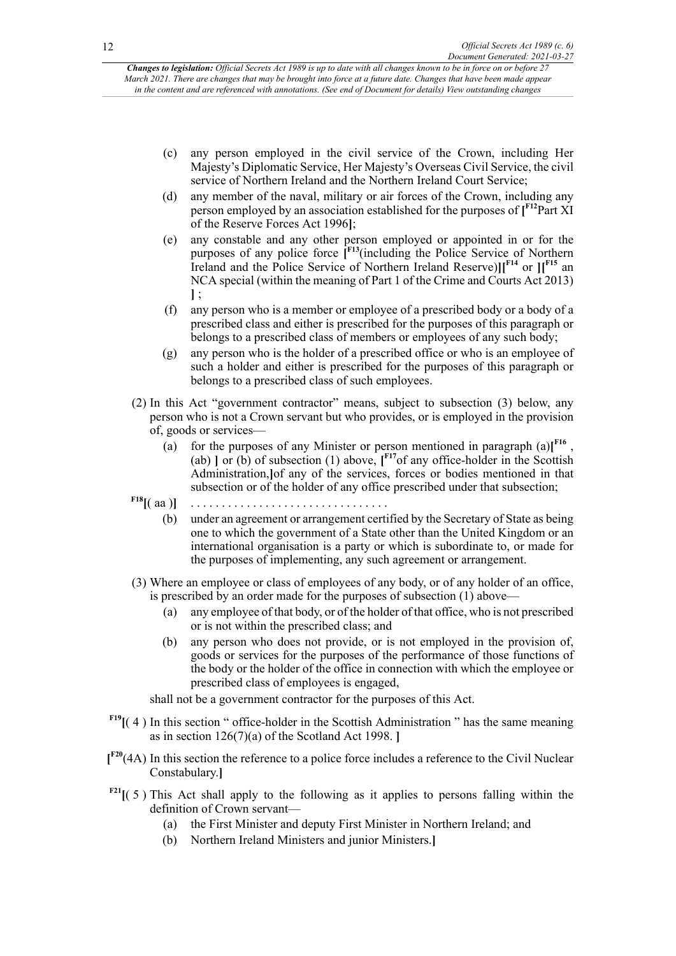- (c) any person employed in the civil service of the Crown, including Her Majesty's Diplomatic Service, Her Majesty's Overseas Civil Service, the civil service of Northern Ireland and the Northern Ireland Court Service;
- <span id="page-11-0"></span>(d) any member of the naval, military or air forces of the Crown, including any person employed by an association established for the purposes of **[ [F12](#page-12-4)**Part XI of the Reserve Forces Act 1996**]**;
- <span id="page-11-2"></span><span id="page-11-1"></span>(e) any constable and any other person employed or appointed in or for the purposes of any police force **[ [F13](#page-12-5)**(including the Police Service of Northern Ireland and the Police Service of Northern Ireland Reserve)**][ [F14](#page-12-6)** or **][ [F15](#page-12-7)** an NCA special (within the meaning of Part 1 of the Crime and Courts Act 2013) **]** ;
- <span id="page-11-3"></span>(f) any person who is a member or employee of a prescribed body or a body of a prescribed class and either is prescribed for the purposes of this paragraph or belongs to a prescribed class of members or employees of any such body;
- <span id="page-11-5"></span><span id="page-11-4"></span>(g) any person who is the holder of a prescribed office or who is an employee of such a holder and either is prescribed for the purposes of this paragraph or belongs to a prescribed class of such employees.
- (2) In this Act "government contractor" means, subject to subsection (3) below, any person who is not a Crown servant but who provides, or is employed in the provision of, goods or services—
	- (a) for the purposes of any Minister or person mentioned in paragraph  $(a)$ <sup>[[F16](#page-12-8)</sup>, (ab) **]** or (b) of subsection (1) above, **[ [F17](#page-12-9)**of any office-holder in the Scottish Administration,**]**of any of the services, forces or bodies mentioned in that subsection or of the holder of any office prescribed under that subsection;
- <span id="page-11-6"></span>**[F18](#page-12-10)[**( aa )**]** . . . . . . . . . . . . . . . . . . . . . . . . . . . . . . . .
	- (b) under an agreement or arrangement certified by the Secretary of State as being one to which the government of a State other than the United Kingdom or an international organisation is a party or which is subordinate to, or made for the purposes of implementing, any such agreement or arrangement.
- (3) Where an employee or class of employees of any body, or of any holder of an office, is prescribed by an order made for the purposes of subsection (1) above—
	- (a) any employee of that body, or of the holder of that office, who is not prescribed or is not within the prescribed class; and
	- (b) any person who does not provide, or is not employed in the provision of, goods or services for the purposes of the performance of those functions of the body or the holder of the office in connection with which the employee or prescribed class of employees is engaged,

shall not be a government contractor for the purposes of this Act.

- <span id="page-11-7"></span>**[F19](#page-12-11)[**( 4 ) In this section " office-holder in the Scottish Administration " has the same meaning as in section 126(7)(a) of the Scotland Act 1998. **]**
- <span id="page-11-8"></span>**[ [F20](#page-12-12)**(4A) In this section the reference to a police force includes a reference to the Civil Nuclear Constabulary.**]**
- <span id="page-11-9"></span>**[F21](#page-12-13)[**( 5 ) This Act shall apply to the following as it applies to persons falling within the definition of Crown servant—
	- (a) the First Minister and deputy First Minister in Northern Ireland; and
	- (b) Northern Ireland Ministers and junior Ministers.**]**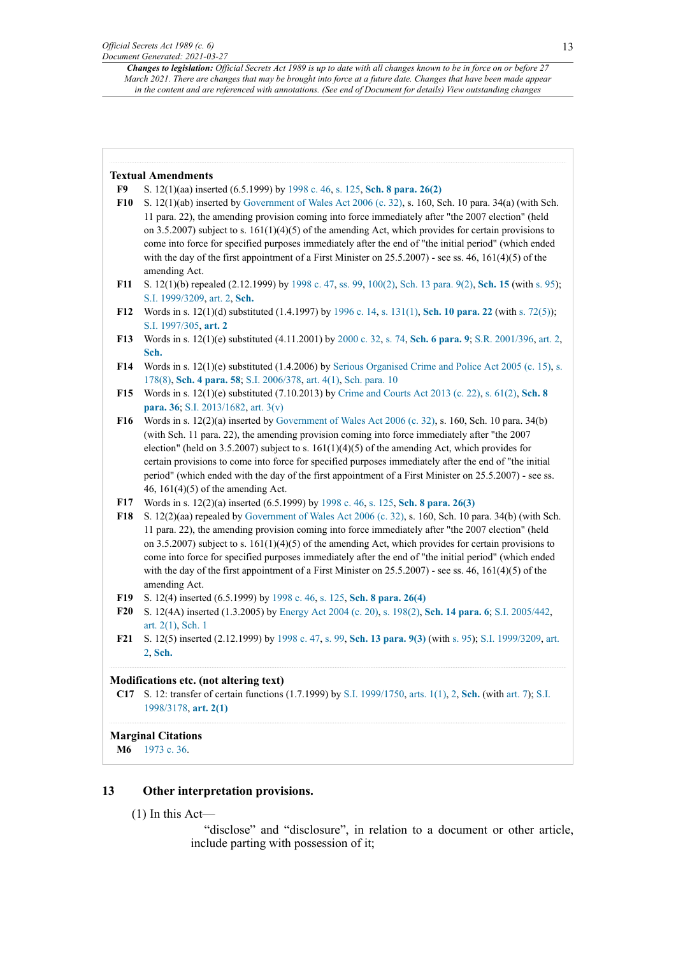#### **Textual Amendments**

- <span id="page-12-0"></span>**[F9](#page-10-8)** S. 12(1)(aa) inserted (6.5.1999) by [1998 c. 46](http://www.legislation.gov.uk/id/ukpga/1998/46), [s. 125](http://www.legislation.gov.uk/id/ukpga/1998/46/section/125), **[Sch. 8 para. 26\(2\)](http://www.legislation.gov.uk/id/ukpga/1998/46/schedule/8/paragraph/26/2)**
- <span id="page-12-1"></span>**[F10](#page-10-9)** S. 12(1)(ab) inserted by [Government](http://www.legislation.gov.uk/id/ukpga/2006/32) of Wales Act 2006 (c. 32), s. 160, Sch. 10 para. 34(a) (with Sch. 11 para. 22), the amending provision coming into force immediately after "the 2007 election" (held on 3.5.2007) subject to s.  $161(1)(4)(5)$  of the amending Act, which provides for certain provisions to come into force for specified purposes immediately after the end of "the initial period" (which ended with the day of the first appointment of a First Minister on 25.5.2007) - see ss. 46, 161(4)(5) of the amending Act.
- <span id="page-12-2"></span>**[F11](#page-10-10)** S. 12(1)(b) repealed (2.12.1999) by [1998 c. 47](http://www.legislation.gov.uk/id/ukpga/1998/47), [ss. 99](http://www.legislation.gov.uk/id/ukpga/1998/47/section/99), [100\(2\),](http://www.legislation.gov.uk/id/ukpga/1998/47/section/100/2) [Sch. 13 para. 9\(2\),](http://www.legislation.gov.uk/id/ukpga/1998/47/schedule/13/paragraph/9/2) **[Sch. 15](http://www.legislation.gov.uk/id/ukpga/1998/47/schedule/15)** (with [s. 95](http://www.legislation.gov.uk/id/ukpga/1998/47/section/95)); [S.I. 1999/3209,](http://www.legislation.gov.uk/id/uksi/1999/3209) [art. 2,](http://www.legislation.gov.uk/id/uksi/1999/3209/article/2) **[Sch.](http://www.legislation.gov.uk/id/uksi/1999/3209/schedule)**
- <span id="page-12-4"></span>**[F12](#page-11-0)** Words in s. 12(1)(d) substituted (1.4.1997) by [1996 c. 14,](http://www.legislation.gov.uk/id/ukpga/1996/14) [s. 131\(1\)](http://www.legislation.gov.uk/id/ukpga/1996/14/section/131/1), **[Sch. 10 para. 22](http://www.legislation.gov.uk/id/ukpga/1996/14/schedule/10/paragraph/22)** (with [s. 72\(5\)\)](http://www.legislation.gov.uk/id/ukpga/1996/14/section/72/5); [S.I. 1997/305](http://www.legislation.gov.uk/id/uksi/1997/305), **[art. 2](http://www.legislation.gov.uk/id/uksi/1997/305/article/2)**
- <span id="page-12-5"></span>**[F13](#page-11-1)** Words in s. 12(1)(e) substituted (4.11.2001) by [2000 c. 32](http://www.legislation.gov.uk/id/ukpga/2000/32), [s. 74,](http://www.legislation.gov.uk/id/ukpga/2000/32/section/74) **[Sch. 6 para. 9](http://www.legislation.gov.uk/id/ukpga/2000/32/schedule/6/paragraph/9)**; [S.R. 2001/396](http://www.legislation.gov.uk/id/nisr/2001/396), [art. 2](http://www.legislation.gov.uk/id/nisr/2001/396/article/2), **[Sch.](http://www.legislation.gov.uk/id/nisr/2001/396/schedule)**
- <span id="page-12-6"></span>**[F14](#page-11-2)** Words in s. 12(1)(e) substituted (1.4.2006) by Serious [Organised](http://www.legislation.gov.uk/id/ukpga/2005/15) Crime and Police Act 2005 (c. 15), [s.](http://www.legislation.gov.uk/id/ukpga/2005/15/section/178/8) [178\(8\),](http://www.legislation.gov.uk/id/ukpga/2005/15/section/178/8) **[Sch. 4 para. 58](http://www.legislation.gov.uk/id/ukpga/2005/15/schedule/4/paragraph/58)**; [S.I. 2006/378](http://www.legislation.gov.uk/id/uksi/2006/378), [art. 4\(1\),](http://www.legislation.gov.uk/id/uksi/2006/378/article/4/1) [Sch. para. 10](http://www.legislation.gov.uk/id/uksi/2006/378/schedule/paragraph/10)
- <span id="page-12-7"></span>**[F15](#page-11-3)** Words in s. 12(1)(e) substituted (7.10.2013) by [Crime and Courts Act 2013 \(c. 22\)](http://www.legislation.gov.uk/id/ukpga/2013/22), [s. 61\(2\)](http://www.legislation.gov.uk/id/ukpga/2013/22/section/61/2), **[Sch. 8](http://www.legislation.gov.uk/id/ukpga/2013/22/schedule/8/paragraph/36) [para. 36](http://www.legislation.gov.uk/id/ukpga/2013/22/schedule/8/paragraph/36)**; [S.I. 2013/1682](http://www.legislation.gov.uk/id/uksi/2013/1682), [art. 3\(v\)](http://www.legislation.gov.uk/id/uksi/2013/1682/article/3/v)
- <span id="page-12-8"></span>**[F16](#page-11-4)** Words in s. 12(2)(a) inserted by [Government](http://www.legislation.gov.uk/id/ukpga/2006/32) of Wales Act 2006 (c. 32), s. 160, Sch. 10 para. 34(b) (with Sch. 11 para. 22), the amending provision coming into force immediately after "the 2007 election" (held on 3.5.2007) subject to s.  $161(1)(4)(5)$  of the amending Act, which provides for certain provisions to come into force for specified purposes immediately after the end of "the initial period" (which ended with the day of the first appointment of a First Minister on 25.5.2007) - see ss. 46, 161(4)(5) of the amending Act.
- <span id="page-12-9"></span>**[F17](#page-11-5)** Words in s. 12(2)(a) inserted (6.5.1999) by [1998 c. 46,](http://www.legislation.gov.uk/id/ukpga/1998/46) [s. 125,](http://www.legislation.gov.uk/id/ukpga/1998/46/section/125) **[Sch. 8 para. 26\(3\)](http://www.legislation.gov.uk/id/ukpga/1998/46/schedule/8/paragraph/26/3)**
- <span id="page-12-10"></span>**[F18](#page-11-6)** S. 12(2)(aa) repealed by [Government](http://www.legislation.gov.uk/id/ukpga/2006/32) of Wales Act 2006 (c. 32), s. 160, Sch. 10 para. 34(b) (with Sch. 11 para. 22), the amending provision coming into force immediately after "the 2007 election" (held on 3.5.2007) subject to s.  $161(1)(4)(5)$  of the amending Act, which provides for certain provisions to come into force for specified purposes immediately after the end of "the initial period" (which ended with the day of the first appointment of a First Minister on  $25.5.2007$ ) - see ss. 46, 161(4)(5) of the amending Act.
- <span id="page-12-11"></span>**[F19](#page-11-7)** S. 12(4) inserted (6.5.1999) by [1998 c. 46](http://www.legislation.gov.uk/id/ukpga/1998/46), [s. 125](http://www.legislation.gov.uk/id/ukpga/1998/46/section/125), **[Sch. 8 para. 26\(4\)](http://www.legislation.gov.uk/id/ukpga/1998/46/schedule/8/paragraph/26/4)**
- <span id="page-12-12"></span>**[F20](#page-11-8)** S. 12(4A) inserted (1.3.2005) by [Energy](http://www.legislation.gov.uk/id/ukpga/2004/20) Act 2004 (c. 20), [s. 198\(2\),](http://www.legislation.gov.uk/id/ukpga/2004/20/section/198/2) **[Sch. 14 para. 6](http://www.legislation.gov.uk/id/ukpga/2004/20/schedule/14/paragraph/6)**; [S.I. 2005/442](http://www.legislation.gov.uk/id/uksi/2005/442), [art. 2\(1\),](http://www.legislation.gov.uk/id/uksi/2005/442/article/2/1) [Sch. 1](http://www.legislation.gov.uk/id/uksi/2005/442/schedule/1)
- <span id="page-12-13"></span>**[F21](#page-11-9)** S. 12(5) inserted (2.12.1999) by [1998 c. 47,](http://www.legislation.gov.uk/id/ukpga/1998/47) [s. 99](http://www.legislation.gov.uk/id/ukpga/1998/47/section/99), **[Sch. 13 para. 9\(3\)](http://www.legislation.gov.uk/id/ukpga/1998/47/schedule/13/paragraph/9/3)** (with [s. 95\)](http://www.legislation.gov.uk/id/ukpga/1998/47/section/95); [S.I. 1999/3209,](http://www.legislation.gov.uk/id/uksi/1999/3209) [art.](http://www.legislation.gov.uk/id/uksi/1999/3209/article/2) [2](http://www.legislation.gov.uk/id/uksi/1999/3209/article/2), **[Sch.](http://www.legislation.gov.uk/id/uksi/1999/3209/schedule)**

#### **Modifications etc. (not altering text)**

**C17** S. 12: transfer of certain functions (1.7.1999) by [S.I. 1999/1750](http://www.legislation.gov.uk/id/uksi/1999/1750), [arts. 1\(1\)](http://www.legislation.gov.uk/id/uksi/1999/1750/article/1/1), [2](http://www.legislation.gov.uk/id/uksi/1999/1750/article/2), **[Sch.](http://www.legislation.gov.uk/id/uksi/1999/1750/schedule)** (with [art. 7\)](http://www.legislation.gov.uk/id/uksi/1999/1750/article/7); [S.I.](http://www.legislation.gov.uk/id/uksi/1998/3178) [1998/3178](http://www.legislation.gov.uk/id/uksi/1998/3178), **[art. 2\(1\)](http://www.legislation.gov.uk/id/uksi/1998/3178/article/2/1)**

#### **Marginal Citations**

<span id="page-12-3"></span>**[M6](#page-10-11)** [1973 c. 36](http://www.legislation.gov.uk/id/ukpga/1973/36).

### **13 Other interpretation provisions.**

(1) In this Act—

"disclose" and "disclosure", in relation to a document or other article, include parting with possession of it;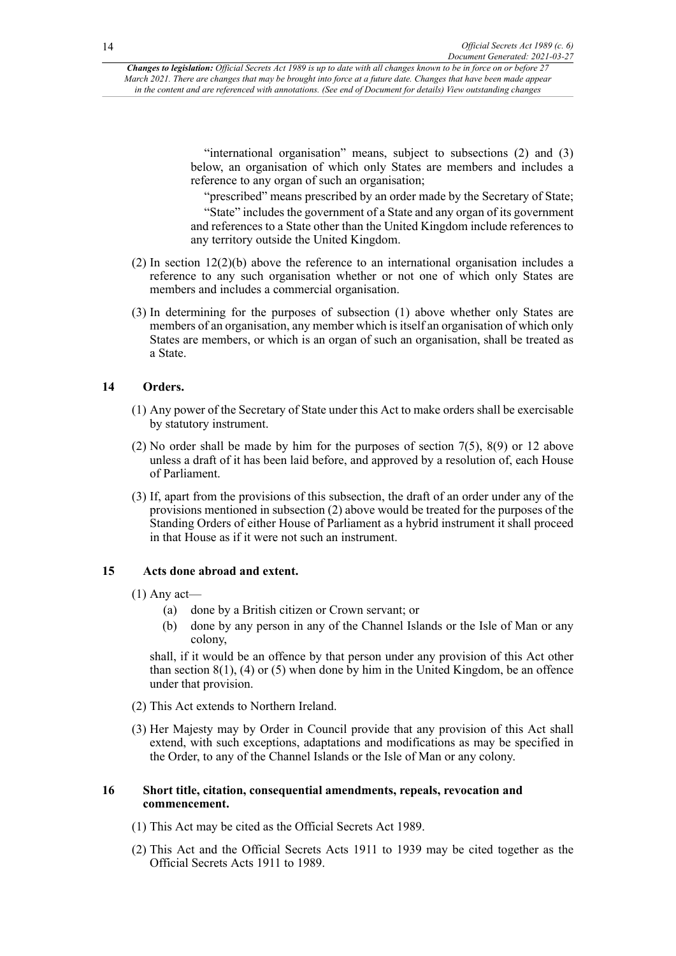"international organisation" means, subject to subsections (2) and (3) below, an organisation of which only States are members and includes a reference to any organ of such an organisation;

"prescribed" means prescribed by an order made by the Secretary of State; "State" includes the government of a State and any organ of its government and references to a State other than the United Kingdom include references to any territory outside the United Kingdom.

- $(2)$  In section  $12(2)(b)$  above the reference to an international organisation includes a reference to any such organisation whether or not one of which only States are members and includes a commercial organisation.
- (3) In determining for the purposes of subsection (1) above whether only States are members of an organisation, any member which is itself an organisation of which only States are members, or which is an organ of such an organisation, shall be treated as a State.

# **14 Orders.**

- (1) Any power of the Secretary of State under this Act to make orders shall be exercisable by statutory instrument.
- (2) No order shall be made by him for the purposes of section 7(5), 8(9) or 12 above unless a draft of it has been laid before, and approved by a resolution of, each House of Parliament.
- (3) If, apart from the provisions of this subsection, the draft of an order under any of the provisions mentioned in subsection (2) above would be treated for the purposes of the Standing Orders of either House of Parliament as a hybrid instrument it shall proceed in that House as if it were not such an instrument.

### **15 Acts done abroad and extent.**

- $(1)$  Any act—
	- (a) done by a British citizen or Crown servant; or
	- (b) done by any person in any of the Channel Islands or the Isle of Man or any colony,

shall, if it would be an offence by that person under any provision of this Act other than section  $8(1)$ ,  $(4)$  or  $(5)$  when done by him in the United Kingdom, be an offence under that provision.

- (2) This Act extends to Northern Ireland.
- (3) Her Majesty may by Order in Council provide that any provision of this Act shall extend, with such exceptions, adaptations and modifications as may be specified in the Order, to any of the Channel Islands or the Isle of Man or any colony.

### **16 Short title, citation, consequential amendments, repeals, revocation and commencement.**

- (1) This Act may be cited as the Official Secrets Act 1989.
- (2) This Act and the Official Secrets Acts 1911 to 1939 may be cited together as the Official Secrets Acts 1911 to 1989.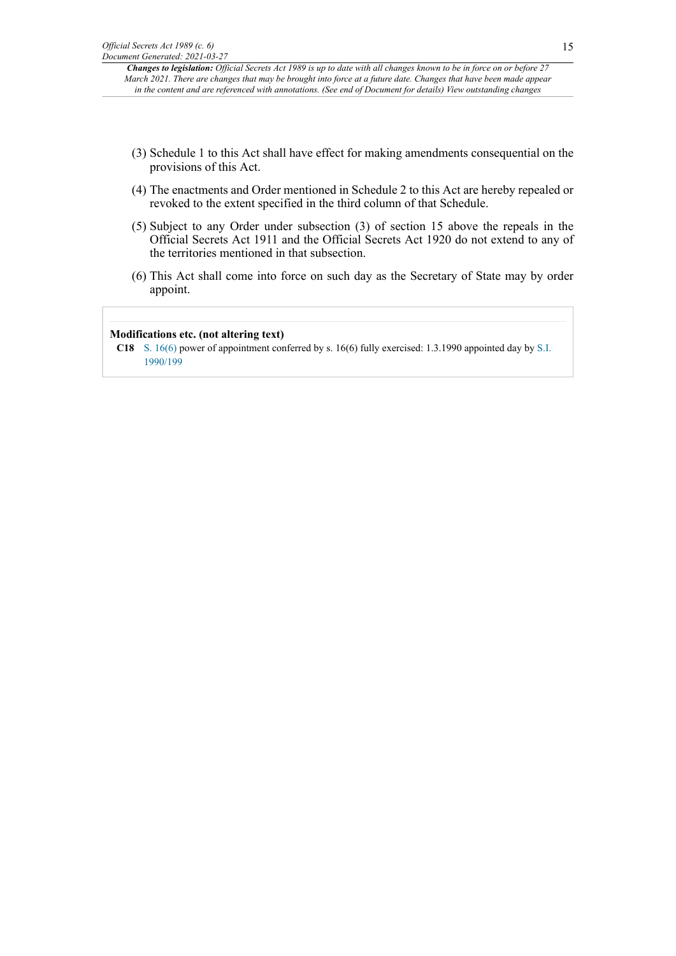- (3) Schedule 1 to this Act shall have effect for making amendments consequential on the provisions of this Act.
- (4) The enactments and Order mentioned in Schedule 2 to this Act are hereby repealed or revoked to the extent specified in the third column of that Schedule.
- (5) Subject to any Order under subsection (3) of section 15 above the repeals in the Official Secrets Act 1911 and the Official Secrets Act 1920 do not extend to any of the territories mentioned in that subsection.
- (6) This Act shall come into force on such day as the Secretary of State may by order appoint.

#### **Modifications etc. (not altering text)**

**C18** [S. 16\(6\)](http://www.legislation.gov.uk/id/ukpga/1989/6/section/16/6) power of appointment conferred by s. 16(6) fully exercised: 1.3.1990 appointed day by [S.I.](http://www.legislation.gov.uk/id/uksi/1990/199) [1990/199](http://www.legislation.gov.uk/id/uksi/1990/199)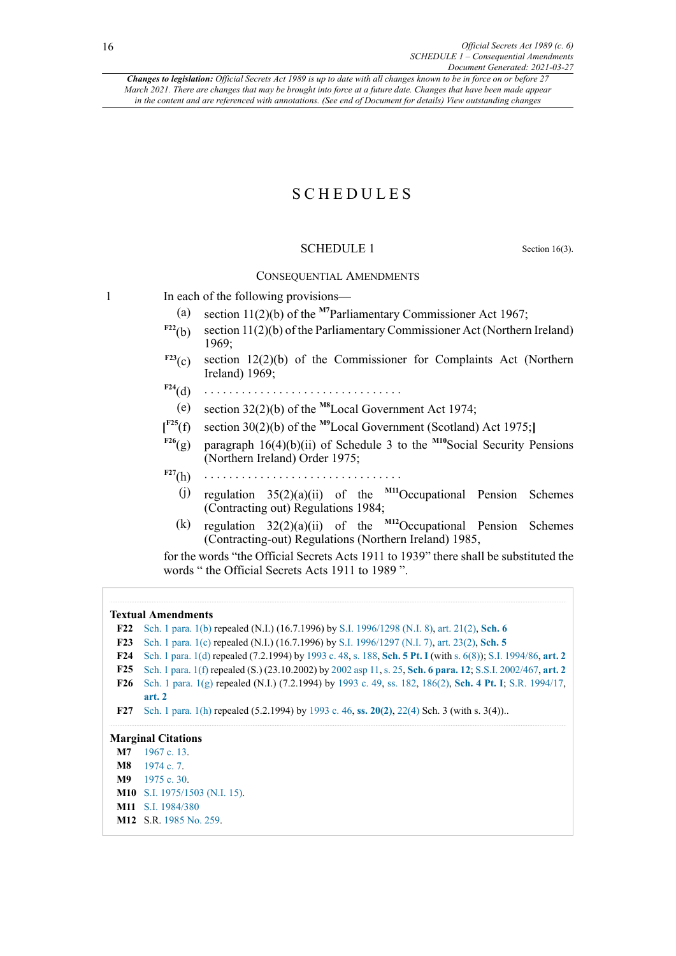# SCHEDULES

### <span id="page-15-18"></span>SCHEDULE 1 Section 16(3).

<span id="page-15-21"></span>

### <span id="page-15-20"></span><span id="page-15-19"></span>CONSEQUENTIAL AMENDMENTS

- <span id="page-15-14"></span><span id="page-15-13"></span><span id="page-15-12"></span>1 In each of the following provisions—
	- (a) section 11(2)(b) of the **[M7](#page-15-0)**Parliamentary Commissioner Act 1967;
	- **[F22](#page-15-1)**(b) section 11(2)(b) of the Parliamentary Commissioner Act (Northern Ireland) 1969;
	- **[F23](#page-15-2)**(c) section 12(2)(b) of the Commissioner for Complaints Act (Northern Ireland) 1969;
	- **[F24](#page-15-3)**(d) . . . . . . . . . . . . . . . . . . . . . . . . . . . . . . . .
		- (e) section 32(2)(b) of the **[M8](#page-15-4)**Local Government Act 1974;
	- $I^{F25}(f)$ **[F25](#page-15-5)**(f) section 30(2)(b) of the **[M9](#page-15-6)**Local Government (Scotland) Act 1975;**]**
	- F<sup>26</sup>(g) paragraph 16(4)(b)(ii) of Schedule 3 to the <sup>[M10](#page-15-8)</sup>Social Security Pensions (Northern Ireland) Order 1975;
	- **[F27](#page-15-9)**(h) . . . . . . . . . . . . . . . . . . . . . . . . . . . . . . . .
		- (j) regulation 35(2)(a)(ii) of the **[M11](#page-15-10)**Occupational Pension Schemes (Contracting out) Regulations 1984;
		- (k) regulation 32(2)(a)(ii) of the **[M12](#page-15-11)**Occupational Pension Schemes (Contracting-out) Regulations (Northern Ireland) 1985,

<span id="page-15-23"></span><span id="page-15-22"></span><span id="page-15-17"></span><span id="page-15-16"></span><span id="page-15-15"></span>for the words "the Official Secrets Acts 1911 to 1939" there shall be substituted the words " the Official Secrets Acts 1911 to 1989 ".

#### **Textual Amendments**

```
F22 Sch. 1 para. 1(b) repealed (N.I.) (16.7.1996) by S.I. 1996/1298 (N.I. 8), art. 21(2), Sch. 6
```
- <span id="page-15-2"></span>**[F23](#page-15-13)** [Sch. 1 para. 1\(c\)](http://www.legislation.gov.uk/id/ukpga/1989/6/schedule/1/paragraph/1/c) repealed (N.I.) (16.7.1996) by [S.I. 1996/1297 \(N.I. 7\),](http://www.legislation.gov.uk/id/nisi/1996/1297) [art. 23\(2\),](http://www.legislation.gov.uk/id/nisi/1996/1297/article/23/2) **[Sch. 5](http://www.legislation.gov.uk/id/nisi/1996/1297/schedule/5)**
- <span id="page-15-3"></span>**[F24](#page-15-14)** [Sch. 1 para. 1\(d\)](http://www.legislation.gov.uk/id/ukpga/1989/6/schedule/1/paragraph/1/d) repealed (7.2.1994) by [1993 c. 48](http://www.legislation.gov.uk/id/ukpga/1993/48), [s. 188](http://www.legislation.gov.uk/id/ukpga/1993/48/section/188), **[Sch. 5 Pt. I](http://www.legislation.gov.uk/id/ukpga/1993/48/schedule/5/part/I)** (with [s. 6\(8\)\)](http://www.legislation.gov.uk/id/ukpga/1993/48/section/6/8); [S.I. 1994/86](http://www.legislation.gov.uk/id/uksi/1994/86), **[art. 2](http://www.legislation.gov.uk/id/uksi/1994/86/article/2)**
- <span id="page-15-5"></span>**[F25](#page-15-15)** [Sch. 1 para. 1\(f\)](http://www.legislation.gov.uk/id/ukpga/1989/6/schedule/1/paragraph/1/f) repealed (S.) (23.10.2002) by [2002](http://www.legislation.gov.uk/id/asp/2002/11) asp 11, [s. 25,](http://www.legislation.gov.uk/id/asp/2002/11/section/25) **[Sch. 6 para. 12](http://www.legislation.gov.uk/id/asp/2002/11/schedule/6/paragraph/12)**; [S.S.I. 2002/467](http://www.legislation.gov.uk/id/ssi/2002/467), **[art. 2](http://www.legislation.gov.uk/id/ssi/2002/467/article/2)**
- <span id="page-15-7"></span>**[F26](#page-15-16)** [Sch. 1 para. 1\(g\)](http://www.legislation.gov.uk/id/ukpga/1989/6/schedule/1/paragraph/1/g) repealed (N.I.) (7.2.1994) by [1993 c. 49](http://www.legislation.gov.uk/id/ukpga/1993/49), [ss. 182,](http://www.legislation.gov.uk/id/ukpga/1993/49/section/182) [186\(2\),](http://www.legislation.gov.uk/id/ukpga/1993/49/section/186/2) **[Sch. 4 Pt. I](http://www.legislation.gov.uk/id/ukpga/1993/49/schedule/4/part/I)**; [S.R. 1994/17](http://www.legislation.gov.uk/id/nisr/1994/17), **[art. 2](http://www.legislation.gov.uk/id/nisr/1994/17/article/2)**
- <span id="page-15-9"></span>**[F27](#page-15-17)** [Sch. 1 para. 1\(h\)](http://www.legislation.gov.uk/id/ukpga/1989/6/schedule/1/paragraph/1/h) repealed (5.2.1994) by [1993 c. 46](http://www.legislation.gov.uk/id/ukpga/1993/46), **[ss. 20\(2\)](http://www.legislation.gov.uk/id/ukpga/1993/46/section/20/2)**, [22\(4\)](http://www.legislation.gov.uk/id/ukpga/1993/46/section/22/4) Sch. 3 (with s. 3(4))..

#### **Marginal Citations**

<span id="page-15-11"></span><span id="page-15-10"></span><span id="page-15-8"></span><span id="page-15-6"></span><span id="page-15-4"></span><span id="page-15-0"></span>**[M7](#page-15-18)** [1967 c. 13](http://www.legislation.gov.uk/id/ukpga/1967/13). **[M8](#page-15-19)** [1974 c. 7.](http://www.legislation.gov.uk/id/ukpga/1974/7) **[M9](#page-15-20)** [1975 c. 30](http://www.legislation.gov.uk/id/ukpga/1975/30). **[M10](#page-15-21)** [S.I. 1975/1503 \(N.I. 15\)](http://www.legislation.gov.uk/id/nisi/1975/1503). **[M11](#page-15-22)** [S.I. 1984/380](http://www.legislation.gov.uk/id/uksi/1984/380) **[M12](#page-15-23)** S.R. [1985 No. 259.](http://www.legislation.gov.uk/id/ukcm/1985/259)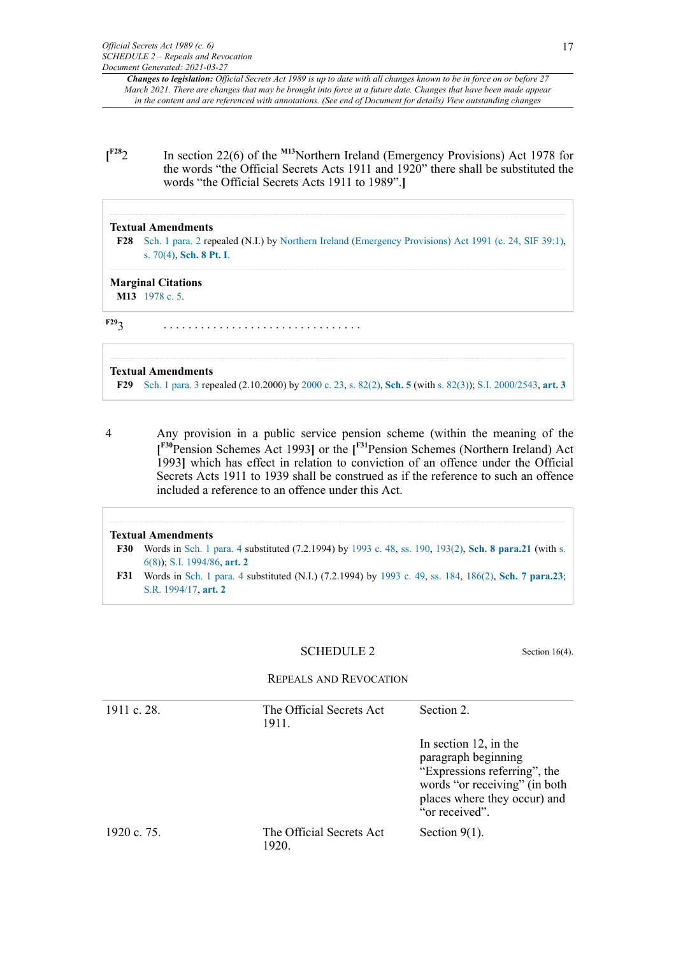<span id="page-16-3"></span><span id="page-16-2"></span> $I^{F28}2$ In section 22(6) of the <sup>[M13](#page-16-1)</sup>Northern Ireland (Emergency Provisions) Act 1978 for the words "the Official Secrets Acts 1911 and 1920" there shall be substituted the words "the Official Secrets Acts 1911 to 1989".**]**

#### **Textual Amendments**

<span id="page-16-0"></span>**[F28](#page-16-2)** [Sch. 1 para. 2](http://www.legislation.gov.uk/id/ukpga/1989/6/schedule/1/paragraph/2) repealed (N.I.) by Northern Ireland [\(Emergency](http://www.legislation.gov.uk/id/ukpga/1991/24) Provisions) Act 1991 (c. 24, SIF 39:1), [s. 70\(4\)](http://www.legislation.gov.uk/id/ukpga/1991/24/section/70/4), **[Sch. 8 Pt. I](http://www.legislation.gov.uk/id/ukpga/1991/24/schedule/8/part/I)**.

#### <span id="page-16-1"></span>**Marginal Citations [M13](#page-16-3)** [1978 c. 5.](http://www.legislation.gov.uk/id/ukpga/1978/5)

<span id="page-16-5"></span>**[F29](#page-16-4)**3 . . . . . . . . . . . . . . . . . . . . . . . . . . . . . . . .

#### **Textual Amendments**

- <span id="page-16-4"></span>**[F29](#page-16-5)** [Sch. 1 para. 3](http://www.legislation.gov.uk/id/ukpga/1989/6/schedule/1/paragraph/3) repealed (2.10.2000) by [2000 c. 23](http://www.legislation.gov.uk/id/ukpga/2000/23), [s. 82\(2\)](http://www.legislation.gov.uk/id/ukpga/2000/23/section/82/2), **[Sch. 5](http://www.legislation.gov.uk/id/ukpga/2000/23/schedule/5)** (with [s. 82\(3\)\)](http://www.legislation.gov.uk/id/ukpga/2000/23/section/82/3); [S.I. 2000/2543,](http://www.legislation.gov.uk/id/uksi/2000/2543) **[art. 3](http://www.legislation.gov.uk/id/uksi/2000/2543/article/3)**
- <span id="page-16-8"></span>4 Any provision in a public service pension scheme (within the meaning of the **[ [F30](#page-16-6)**Pension Schemes Act 1993**]** or the **[ [F31](#page-16-7)**Pension Schemes (Northern Ireland) Act 1993**]** which has effect in relation to conviction of an offence under the Official Secrets Acts 1911 to 1939 shall be construed as if the reference to such an offence included a reference to an offence under this Act.

# <span id="page-16-6"></span>**Textual Amendments [F30](#page-16-8)** Words in [Sch. 1 para. 4](http://www.legislation.gov.uk/id/ukpga/1989/6/schedule/1/paragraph/4) substituted (7.2.1994) by [1993 c. 48](http://www.legislation.gov.uk/id/ukpga/1993/48), [ss. 190,](http://www.legislation.gov.uk/id/ukpga/1993/48/section/190) [193\(2\),](http://www.legislation.gov.uk/id/ukpga/1993/48/section/193/2) **[Sch. 8 para.21](http://www.legislation.gov.uk/id/ukpga/1993/48/schedule/8/paragraph/21)** (with [s.](http://www.legislation.gov.uk/id/ukpga/1993/48/section/6/8) [6\(8\)\)](http://www.legislation.gov.uk/id/ukpga/1993/48/section/6/8); [S.I. 1994/86,](http://www.legislation.gov.uk/id/uksi/1994/86) **[art. 2](http://www.legislation.gov.uk/id/uksi/1994/86/article/2) [F31](#page-16-9)** Words in [Sch. 1 para. 4](http://www.legislation.gov.uk/id/ukpga/1989/6/schedule/1/paragraph/4) substituted (N.I.) (7.2.1994) by [1993 c. 49](http://www.legislation.gov.uk/id/ukpga/1993/49), [ss. 184](http://www.legislation.gov.uk/id/ukpga/1993/49/section/184), [186\(2\),](http://www.legislation.gov.uk/id/ukpga/1993/49/section/186/2) **[Sch. 7 para.23](http://www.legislation.gov.uk/id/ukpga/1993/49/schedule/7/paragraph/23)**;

<span id="page-16-7"></span>[S.R. 1994/17,](http://www.legislation.gov.uk/id/nisr/1994/17) **[art. 2](http://www.legislation.gov.uk/id/nisr/1994/17/article/2)**

### <span id="page-16-9"></span>SCHEDULE 2 Section 16(4).

### REPEALS AND REVOCATION

| 1911 c. 28. | The Official Secrets Act<br>1911. | Section 2.                                                                                                                                                      |
|-------------|-----------------------------------|-----------------------------------------------------------------------------------------------------------------------------------------------------------------|
|             |                                   | In section 12, in the<br>paragraph beginning<br>"Expressions referring", the<br>words "or receiving" (in both<br>places where they occur) and<br>"or received". |
| 1920 c. 75. | The Official Secrets Act<br>1920. | Section $9(1)$ .                                                                                                                                                |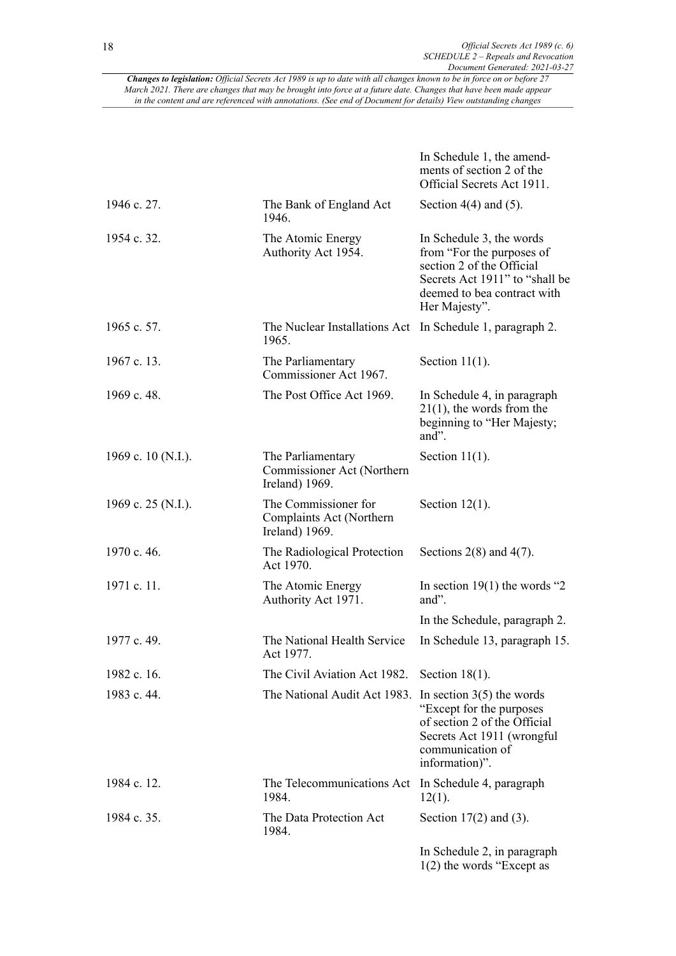|                    |                                                                    | In Schedule 1, the amend-<br>ments of section 2 of the<br>Official Secrets Act 1911.                                                                                 |
|--------------------|--------------------------------------------------------------------|----------------------------------------------------------------------------------------------------------------------------------------------------------------------|
| 1946 c. 27.        | The Bank of England Act<br>1946.                                   | Section $4(4)$ and $(5)$ .                                                                                                                                           |
| 1954 c. 32.        | The Atomic Energy<br>Authority Act 1954.                           | In Schedule 3, the words<br>from "For the purposes of<br>section 2 of the Official<br>Secrets Act 1911" to "shall be<br>deemed to bea contract with<br>Her Majesty". |
| 1965 c. 57.        | The Nuclear Installations Act<br>1965.                             | In Schedule 1, paragraph 2.                                                                                                                                          |
| 1967 c. 13.        | The Parliamentary<br>Commissioner Act 1967.                        | Section $11(1)$ .                                                                                                                                                    |
| 1969 c. 48.        | The Post Office Act 1969.                                          | In Schedule 4, in paragraph<br>$21(1)$ , the words from the<br>beginning to "Her Majesty;<br>and".                                                                   |
| 1969 c. 10 (N.I.). | The Parliamentary<br>Commissioner Act (Northern<br>Ireland) 1969.  | Section $11(1)$ .                                                                                                                                                    |
| 1969 c. 25 (N.I.). | The Commissioner for<br>Complaints Act (Northern<br>Ireland) 1969. | Section $12(1)$ .                                                                                                                                                    |
| 1970 c. 46.        | The Radiological Protection<br>Act 1970.                           | Sections $2(8)$ and $4(7)$ .                                                                                                                                         |
| 1971 c. 11.        | The Atomic Energy<br>Authority Act 1971.                           | In section 19(1) the words "2<br>and".                                                                                                                               |
|                    |                                                                    | In the Schedule, paragraph 2.                                                                                                                                        |
| 1977 c. 49.        | The National Health Service<br>Act 1977.                           | In Schedule 13, paragraph 15.                                                                                                                                        |
| 1982 c. 16.        | The Civil Aviation Act 1982.                                       | Section $18(1)$ .                                                                                                                                                    |
| 1983 c. 44.        | The National Audit Act 1983.                                       | In section $3(5)$ the words<br>"Except for the purposes"<br>of section 2 of the Official<br>Secrets Act 1911 (wrongful<br>communication of<br>information)".         |
| 1984 c. 12.        | The Telecommunications Act<br>1984.                                | In Schedule 4, paragraph<br>$12(1)$ .                                                                                                                                |
| 1984 c. 35.        | The Data Protection Act<br>1984.                                   | Section $17(2)$ and (3).                                                                                                                                             |
|                    |                                                                    | In Schedule 2, in paragraph<br>$1(2)$ the words "Except as                                                                                                           |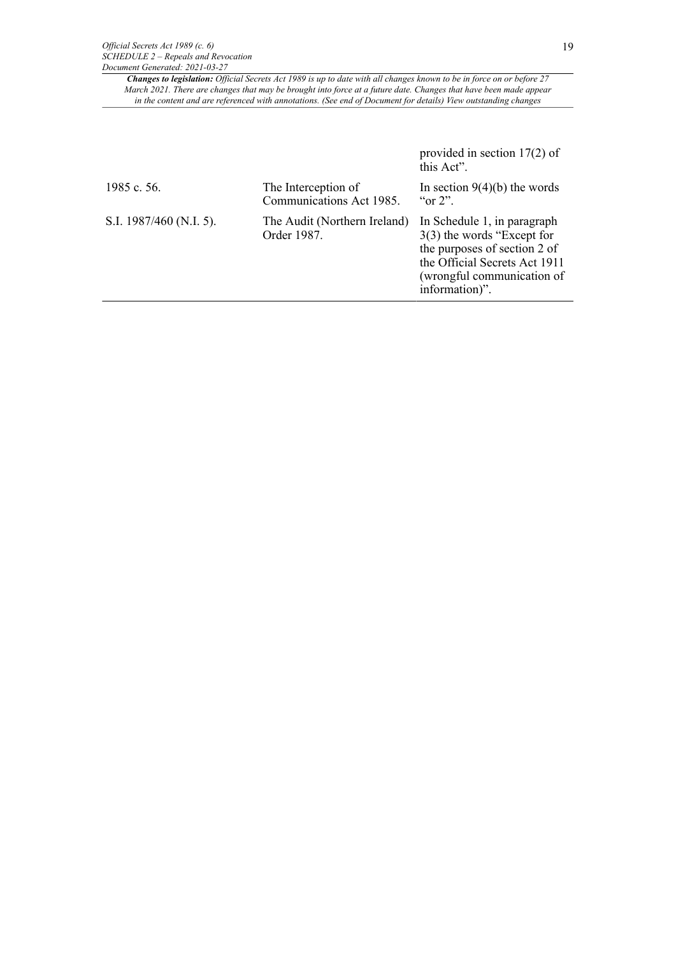|                         |                                                 | provided in section $17(2)$ of<br>this Act".                                                                                                                                 |
|-------------------------|-------------------------------------------------|------------------------------------------------------------------------------------------------------------------------------------------------------------------------------|
| 1985 c. 56.             | The Interception of<br>Communications Act 1985. | In section $9(4)(b)$ the words<br>"or $2$ "                                                                                                                                  |
| S.I. 1987/460 (N.I. 5). | The Audit (Northern Ireland)<br>Order 1987.     | In Schedule 1, in paragraph<br>$3(3)$ the words "Except for<br>the purposes of section 2 of<br>the Official Secrets Act 1911<br>(wrongful communication of<br>information)". |